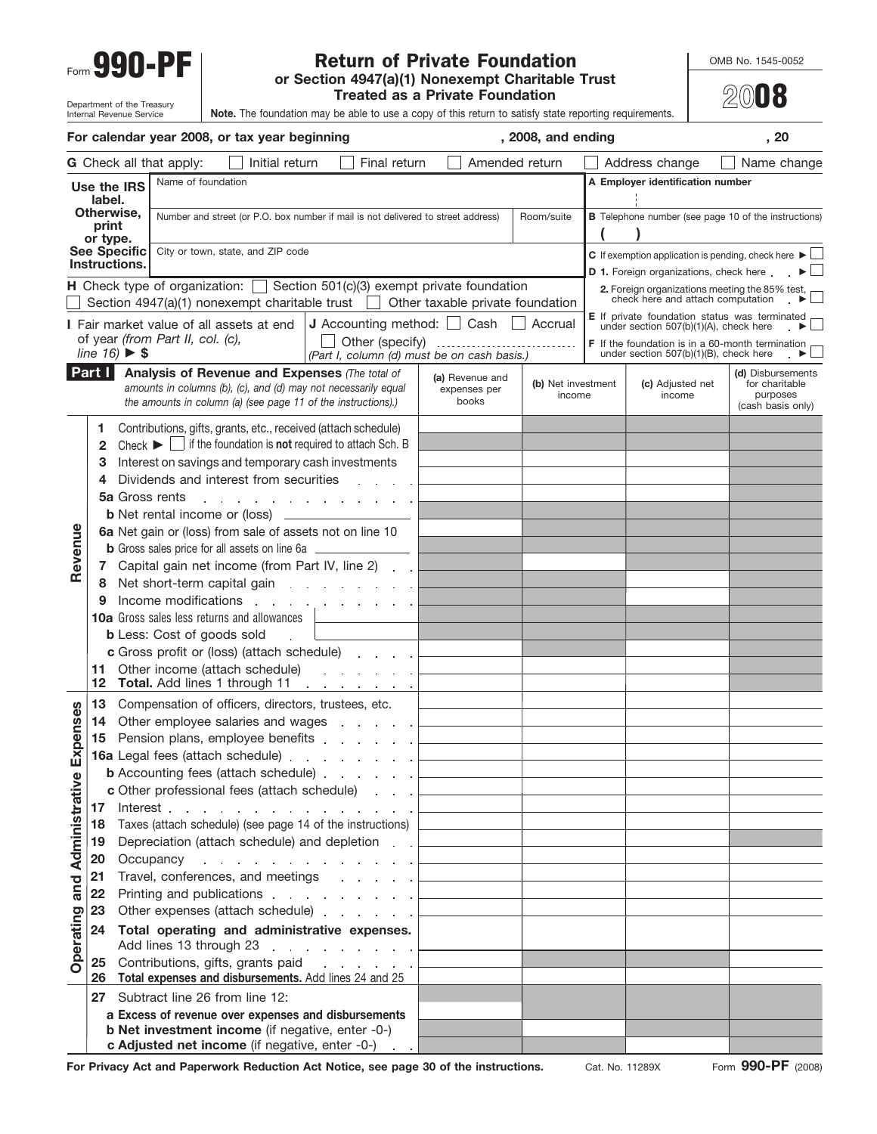## Return of Private Foundation **Private Foundation** Form **990-PF or Section 4947(a)(1) Nonexempt Charitable Trust**<br>
or Section 4947(a)(1) Nonexempt Charitable Trust

**Treated as a Private Foundation**

**20**08

| Department of the Treasury<br><b>Note.</b> The foundation may be able to use a copy of this return to satisfy state reporting requirements.<br>Internal Revenue Service |
|-------------------------------------------------------------------------------------------------------------------------------------------------------------------------|
|-------------------------------------------------------------------------------------------------------------------------------------------------------------------------|

| For calendar year 2008, or tax year beginning |          |                                                                                                                                                                                   |                                              | , 2008, and ending                           |                                                                                            | , 20                                                                 |
|-----------------------------------------------|----------|-----------------------------------------------------------------------------------------------------------------------------------------------------------------------------------|----------------------------------------------|----------------------------------------------|--------------------------------------------------------------------------------------------|----------------------------------------------------------------------|
|                                               |          | G Check all that apply:<br>Initial return<br>Final return                                                                                                                         |                                              | Amended return                               | Address change                                                                             | Name change                                                          |
|                                               |          | Name of foundation<br>Use the IRS                                                                                                                                                 |                                              |                                              | A Employer identification number                                                           |                                                                      |
| label.<br>Otherwise,<br>print                 |          |                                                                                                                                                                                   |                                              |                                              |                                                                                            |                                                                      |
|                                               |          | Number and street (or P.O. box number if mail is not delivered to street address)                                                                                                 |                                              | Room/suite                                   | <b>B</b> Telephone number (see page 10 of the instructions)                                |                                                                      |
|                                               | or type. | <b>See Specific</b><br>City or town, state, and ZIP code                                                                                                                          |                                              |                                              | C If exemption application is pending, check here $\blacktriangleright \Box$               |                                                                      |
|                                               |          | Instructions.                                                                                                                                                                     |                                              |                                              | <b>D 1.</b> Foreign organizations, check here                                              | $\blacktriangleright$ $\sqcup$                                       |
|                                               |          | <b>H</b> Check type of organization: $\Box$ Section 501(c)(3) exempt private foundation                                                                                           |                                              |                                              | 2. Foreign organizations meeting the 85% test,<br>check here and attach computation        |                                                                      |
|                                               |          | Section $4947(a)(1)$ nonexempt charitable trust $\Box$ Other taxable private foundation                                                                                           |                                              |                                              | E If private foundation status was terminated                                              |                                                                      |
|                                               |          | <b>J</b> Accounting method: $\Box$ Cash<br>I Fair market value of all assets at end<br>of year (from Part II, col. (c),<br>Other (specify)                                        |                                              | Accrual                                      | under section 507(b)(1)(A), check here                                                     |                                                                      |
|                                               |          | line $16$ $\triangleright$ \$<br>(Part I, column (d) must be on cash basis.)                                                                                                      |                                              |                                              | F If the foundation is in a 60-month termination<br>under section 507(b)(1)(B), check here |                                                                      |
|                                               | Part I   | Analysis of Revenue and Expenses (The total of<br>amounts in columns (b), (c), and (d) may not necessarily equal<br>the amounts in column (a) (see page 11 of the instructions).) | (a) Revenue and<br>expenses per<br>books     | (b) Net investment<br>income                 | (c) Adjusted net<br>income                                                                 | (d) Disbursements<br>for charitable<br>purposes<br>(cash basis only) |
|                                               | 1.       | Contributions, gifts, grants, etc., received (attach schedule)                                                                                                                    |                                              |                                              |                                                                                            |                                                                      |
|                                               | 2        | Check $\blacktriangleright$ $\Box$ if the foundation is <b>not</b> required to attach Sch. B                                                                                      |                                              |                                              |                                                                                            |                                                                      |
|                                               | З        | Interest on savings and temporary cash investments                                                                                                                                |                                              |                                              |                                                                                            |                                                                      |
|                                               | 4        | Dividends and interest from securities<br><b>5a</b> Gross rents                                                                                                                   |                                              |                                              |                                                                                            |                                                                      |
|                                               |          | <b>Contract</b><br>and a strategic and a strategic and<br><b>b</b> Net rental income or (loss)                                                                                    |                                              |                                              |                                                                                            |                                                                      |
|                                               |          | 6a Net gain or (loss) from sale of assets not on line 10                                                                                                                          |                                              |                                              |                                                                                            |                                                                      |
| Revenue                                       |          | <b>b</b> Gross sales price for all assets on line 6a ______                                                                                                                       |                                              |                                              |                                                                                            |                                                                      |
|                                               | 7        | Capital gain net income (from Part IV, line 2).                                                                                                                                   |                                              |                                              |                                                                                            |                                                                      |
|                                               | 8        | Net short-term capital gain entitled as a set of the short-term capital gain                                                                                                      |                                              |                                              |                                                                                            |                                                                      |
|                                               | 9        | Income modifications<br>the contract of the contract of the                                                                                                                       |                                              |                                              |                                                                                            |                                                                      |
|                                               |          | <b>10a</b> Gross sales less returns and allowances                                                                                                                                |                                              |                                              |                                                                                            |                                                                      |
|                                               |          | <b>b</b> Less: Cost of goods sold<br><b>c</b> Gross profit or (loss) (attach schedule)                                                                                            |                                              |                                              |                                                                                            |                                                                      |
|                                               | 11       | Other income (attach schedule)<br>and a straight and a straight                                                                                                                   |                                              |                                              |                                                                                            |                                                                      |
|                                               | $12 \,$  | Total. Add lines 1 through 11<br>and a support of the                                                                                                                             |                                              |                                              |                                                                                            |                                                                      |
|                                               | 13       | Compensation of officers, directors, trustees, etc.                                                                                                                               |                                              |                                              |                                                                                            |                                                                      |
| Expenses                                      | 14       |                                                                                                                                                                                   |                                              |                                              |                                                                                            |                                                                      |
|                                               |          | 15 Pension plans, employee benefits<br>16a Legal fees (attach schedule)                                                                                                           | <u> 1989 - Johann Barn, mars ann an t-</u>   |                                              |                                                                                            |                                                                      |
|                                               |          | <b>b</b> Accounting fees (attach schedule)                                                                                                                                        |                                              |                                              |                                                                                            |                                                                      |
|                                               |          | c Other professional fees (attach schedule)                                                                                                                                       | <u> 1980 - Johann Barbara, martxa a</u>      |                                              |                                                                                            |                                                                      |
|                                               |          | 17 Interest $\Box$                                                                                                                                                                |                                              |                                              |                                                                                            |                                                                      |
|                                               | 18       | Taxes (attach schedule) (see page 14 of the instructions)                                                                                                                         |                                              | the control of the control of the control of |                                                                                            |                                                                      |
|                                               | 19       | Depreciation (attach schedule) and depletion [10] Depreciation (attach schedule) and depletion [10] $\sim$                                                                        |                                              |                                              |                                                                                            |                                                                      |
| and Administrative                            | 20<br>21 | Occupancy $\ldots$ $\ldots$ $\ldots$ $\ldots$ $\qquad \qquad$<br>Travel, conferences, and meetings entertainment and the content of the content of the content of the content of  |                                              |                                              |                                                                                            |                                                                      |
|                                               | 22       | Printing and publications                                                                                                                                                         |                                              | the control of the control of the control of |                                                                                            |                                                                      |
|                                               | 23       | Other expenses (attach schedule)                                                                                                                                                  | the control of the control of the control of |                                              |                                                                                            |                                                                      |
|                                               | 24       | Total operating and administrative expenses.                                                                                                                                      |                                              |                                              |                                                                                            |                                                                      |
| Operating                                     |          | Add lines 13 through 23                                                                                                                                                           |                                              |                                              |                                                                                            |                                                                      |
|                                               |          | 25 Contributions, gifts, grants paid [1, 1, 1, 1, 1, 1]                                                                                                                           |                                              |                                              |                                                                                            |                                                                      |
|                                               |          | 26 Total expenses and disbursements. Add lines 24 and 25                                                                                                                          |                                              |                                              |                                                                                            |                                                                      |
|                                               |          | 27 Subtract line 26 from line 12:<br>a Excess of revenue over expenses and disbursements                                                                                          |                                              |                                              |                                                                                            |                                                                      |
|                                               |          | <b>b Net investment income</b> (if negative, enter -0-)                                                                                                                           |                                              |                                              |                                                                                            |                                                                      |
|                                               |          | c Adjusted net income (if negative, enter -0-)                                                                                                                                    |                                              |                                              |                                                                                            |                                                                      |

For Privacy Act and Paperwork Reduction Act Notice, see page 30 of the instructions. Cat. No. 11289X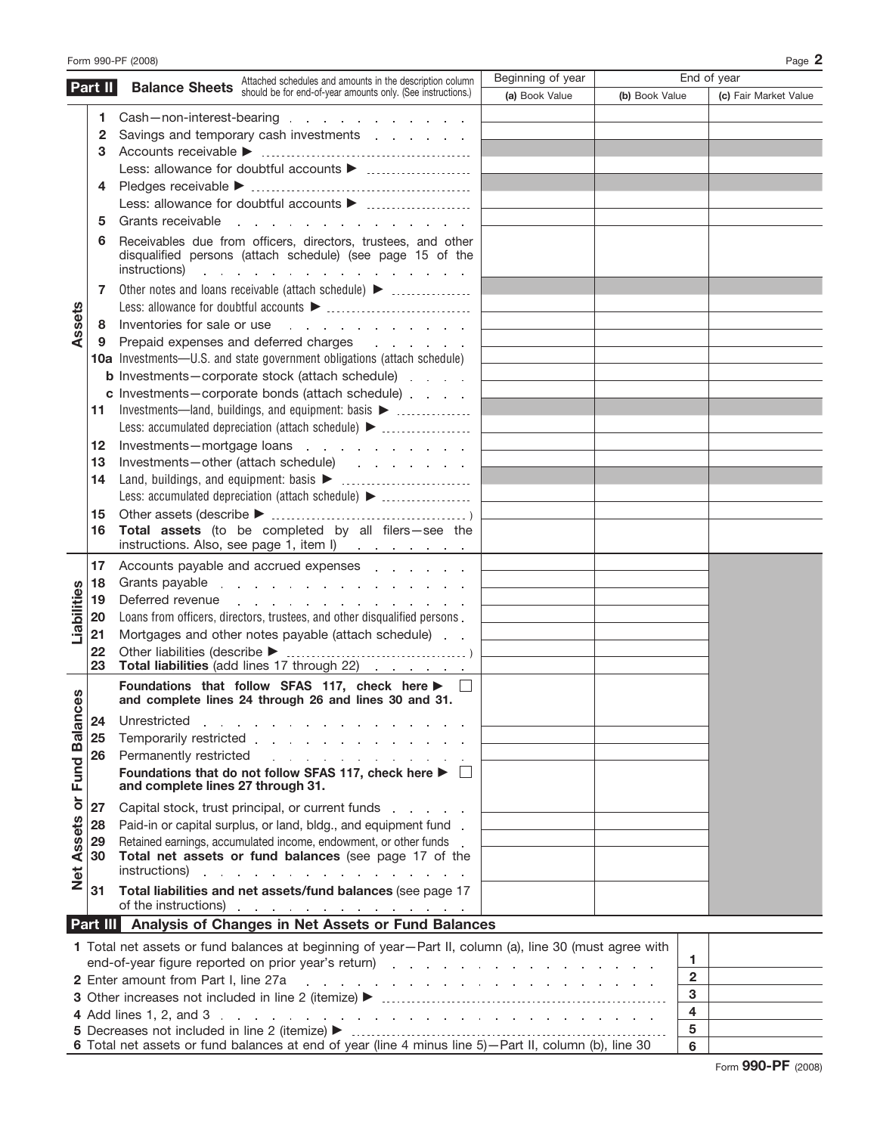|                   | Part II                                 | Beginning of year<br><b>Balance Sheets</b> Attached schedules and amounts in the description column<br>Should be for end-of-year amounts only. (See instructions.)                                                                                                                                                                                                                                                                                                                                                                                                                                                               |                |                | End of year           |
|-------------------|-----------------------------------------|----------------------------------------------------------------------------------------------------------------------------------------------------------------------------------------------------------------------------------------------------------------------------------------------------------------------------------------------------------------------------------------------------------------------------------------------------------------------------------------------------------------------------------------------------------------------------------------------------------------------------------|----------------|----------------|-----------------------|
|                   |                                         | (a) Book Value                                                                                                                                                                                                                                                                                                                                                                                                                                                                                                                                                                                                                   | (b) Book Value |                | (c) Fair Market Value |
|                   | 1.                                      | Cash-non-interest-bearing research and the set of the set of the set of the set of the set of the set of the set of the set of the set of the set of the set of the set of the set of the set of the set of the set of the set                                                                                                                                                                                                                                                                                                                                                                                                   |                |                |                       |
|                   | 2                                       | Savings and temporary cash investments and the same state of the same state of the same state of the Savings and Savings and Savings and Savings and Savings and Savings and Savings and Savings and Savings and Savings and S                                                                                                                                                                                                                                                                                                                                                                                                   |                |                |                       |
|                   | 3                                       |                                                                                                                                                                                                                                                                                                                                                                                                                                                                                                                                                                                                                                  |                |                |                       |
|                   |                                         |                                                                                                                                                                                                                                                                                                                                                                                                                                                                                                                                                                                                                                  |                |                |                       |
|                   | 4                                       |                                                                                                                                                                                                                                                                                                                                                                                                                                                                                                                                                                                                                                  |                |                |                       |
|                   |                                         |                                                                                                                                                                                                                                                                                                                                                                                                                                                                                                                                                                                                                                  |                |                |                       |
|                   | 5                                       | Grants receivable<br>the contract of the contract of the contract of                                                                                                                                                                                                                                                                                                                                                                                                                                                                                                                                                             |                |                |                       |
|                   | 6                                       | Receivables due from officers, directors, trustees, and other<br>disqualified persons (attach schedule) (see page 15 of the<br>instructions) and the contract of the contract of the contract of the contract of the contract of the contract of the contract of the contract of the contract of the contract of the contract of the contract of the contract                                                                                                                                                                                                                                                                    |                |                |                       |
|                   | 7                                       | Other notes and loans receivable (attach schedule) >                                                                                                                                                                                                                                                                                                                                                                                                                                                                                                                                                                             |                |                |                       |
|                   |                                         |                                                                                                                                                                                                                                                                                                                                                                                                                                                                                                                                                                                                                                  |                |                |                       |
| Assets            | 8                                       | Inventories for sale or use                                                                                                                                                                                                                                                                                                                                                                                                                                                                                                                                                                                                      |                |                |                       |
|                   | 9                                       | Prepaid expenses and deferred charges expenses and the state of the state of the Prepaid expenses and deferred charges                                                                                                                                                                                                                                                                                                                                                                                                                                                                                                           |                |                |                       |
|                   |                                         | <b>10a</b> Investments—U.S. and state government obligations (attach schedule)                                                                                                                                                                                                                                                                                                                                                                                                                                                                                                                                                   |                |                |                       |
|                   |                                         | <b>b</b> Investments-corporate stock (attach schedule)                                                                                                                                                                                                                                                                                                                                                                                                                                                                                                                                                                           |                |                |                       |
|                   |                                         | c Investments-corporate bonds (attach schedule)                                                                                                                                                                                                                                                                                                                                                                                                                                                                                                                                                                                  |                |                |                       |
|                   | 11                                      | Investments—land, buildings, and equipment: basis >                                                                                                                                                                                                                                                                                                                                                                                                                                                                                                                                                                              |                |                |                       |
|                   |                                         | $\begin{tabular}{l} \multicolumn{2}{c} {\textbf{1}} & \multicolumn{2}{c} {\textbf{1}} & \multicolumn{2}{c} {\textbf{1}} \\ \multicolumn{2}{c} {\textbf{1}} & \multicolumn{2}{c} {\textbf{1}} & \multicolumn{2}{c} {\textbf{1}} \\ \multicolumn{2}{c} {\textbf{1}} & \multicolumn{2}{c} {\textbf{1}} & \multicolumn{2}{c} {\textbf{1}} \\ \multicolumn{2}{c} {\textbf{1}} & \multicolumn{2}{c} {\textbf{1}} & \multicolumn{2}{c} {\textbf{1}} \\ \multicolumn{2}{c} {\textbf{1}} & \multicolumn$                                                                                                                                  |                |                |                       |
|                   | 12                                      | Investments—mortgage loans                                                                                                                                                                                                                                                                                                                                                                                                                                                                                                                                                                                                       |                |                |                       |
|                   | 13                                      | Investments-other (attach schedule) results and set of the schedule of the state of the state of the state of the state of the state of the state of the state of the state of the state of the state of the state of the stat                                                                                                                                                                                                                                                                                                                                                                                                   |                |                |                       |
|                   | 14                                      |                                                                                                                                                                                                                                                                                                                                                                                                                                                                                                                                                                                                                                  |                |                |                       |
|                   |                                         |                                                                                                                                                                                                                                                                                                                                                                                                                                                                                                                                                                                                                                  |                |                |                       |
|                   | 15                                      |                                                                                                                                                                                                                                                                                                                                                                                                                                                                                                                                                                                                                                  |                |                |                       |
|                   | 16                                      | Total assets (to be completed by all filers-see the<br>instructions. Also, see page 1, item l) [100] [100] [100] [100] [100] [100] [100] [100] [100] [100] [100] [100                                                                                                                                                                                                                                                                                                                                                                                                                                                            |                |                |                       |
| Liabilities       | 17<br>∣18<br>19<br>20<br>21<br>22<br>23 | Accounts payable and accrued expenses examples and accrued expenses<br>Grants payable in the state of the state of the state of the state of the state of the state of the state of the state of the state of the state of the state of the state of the state of the state of the state of the state<br>Deferred revenue<br>the contract of the contract of the contract of the contract of the contract of the contract of the contract of<br>Loans from officers, directors, trustees, and other disqualified persons.<br>Mortgages and other notes payable (attach schedule).<br>Total liabilities (add lines 17 through 22) |                |                |                       |
| ces               |                                         | Foundations that follow SFAS 117, check here $\blacktriangleright$ $\Box$<br>and complete lines 24 through 26 and lines 30 and 31.                                                                                                                                                                                                                                                                                                                                                                                                                                                                                               |                |                |                       |
|                   | 24                                      | Unrestricted<br>and the contract of the contract of the contract of the                                                                                                                                                                                                                                                                                                                                                                                                                                                                                                                                                          |                |                |                       |
|                   | 25                                      | Temporarily restricted                                                                                                                                                                                                                                                                                                                                                                                                                                                                                                                                                                                                           |                |                |                       |
|                   | 26                                      | Permanently restricted<br>the contract of the contract of the contract of the contract of the contract of the contract of the contract of                                                                                                                                                                                                                                                                                                                                                                                                                                                                                        |                |                |                       |
| or Fund Balan     |                                         | Foundations that do not follow SFAS 117, check here $\blacktriangleright$ $\Box$<br>and complete lines 27 through 31.                                                                                                                                                                                                                                                                                                                                                                                                                                                                                                            |                |                |                       |
|                   | 27                                      | Capital stock, trust principal, or current funds                                                                                                                                                                                                                                                                                                                                                                                                                                                                                                                                                                                 |                |                |                       |
|                   | 28                                      | Paid-in or capital surplus, or land, bldg., and equipment fund.                                                                                                                                                                                                                                                                                                                                                                                                                                                                                                                                                                  |                |                |                       |
| <b>Net Assets</b> | 29                                      | Retained earnings, accumulated income, endowment, or other funds .                                                                                                                                                                                                                                                                                                                                                                                                                                                                                                                                                               |                |                |                       |
|                   | 30                                      | Total net assets or fund balances (see page 17 of the                                                                                                                                                                                                                                                                                                                                                                                                                                                                                                                                                                            |                |                |                       |
|                   |                                         | instructions)<br>a construction of the contract of the construction of the construction of the contract of the construction of                                                                                                                                                                                                                                                                                                                                                                                                                                                                                                   |                |                |                       |
|                   | 31                                      | Total liabilities and net assets/fund balances (see page 17<br>of the instructions)                                                                                                                                                                                                                                                                                                                                                                                                                                                                                                                                              |                |                |                       |
|                   | Part III                                | Analysis of Changes in Net Assets or Fund Balances                                                                                                                                                                                                                                                                                                                                                                                                                                                                                                                                                                               |                |                |                       |
|                   |                                         | 1 Total net assets or fund balances at beginning of year-Part II, column (a), line 30 (must agree with                                                                                                                                                                                                                                                                                                                                                                                                                                                                                                                           |                |                |                       |
|                   |                                         | end-of-year figure reported on prior year's return) and a substitution of the state of the state of the state o                                                                                                                                                                                                                                                                                                                                                                                                                                                                                                                  |                | 1              |                       |
|                   |                                         | 2 Enter amount from Part I, line 27a<br>the contract of the contract of the contract of the contract of the contract of                                                                                                                                                                                                                                                                                                                                                                                                                                                                                                          |                | $\overline{2}$ |                       |
|                   |                                         |                                                                                                                                                                                                                                                                                                                                                                                                                                                                                                                                                                                                                                  |                | 3              |                       |
|                   |                                         |                                                                                                                                                                                                                                                                                                                                                                                                                                                                                                                                                                                                                                  |                | 4              |                       |
|                   |                                         |                                                                                                                                                                                                                                                                                                                                                                                                                                                                                                                                                                                                                                  |                | 5              |                       |

**5** Decreases not included in line 2 (itemize) © **5 6** Total net assets or fund balances at end of year (line 4 minus line 5)—Part II, column (b), line 30 **6**

 $\overline{\phantom{a}}$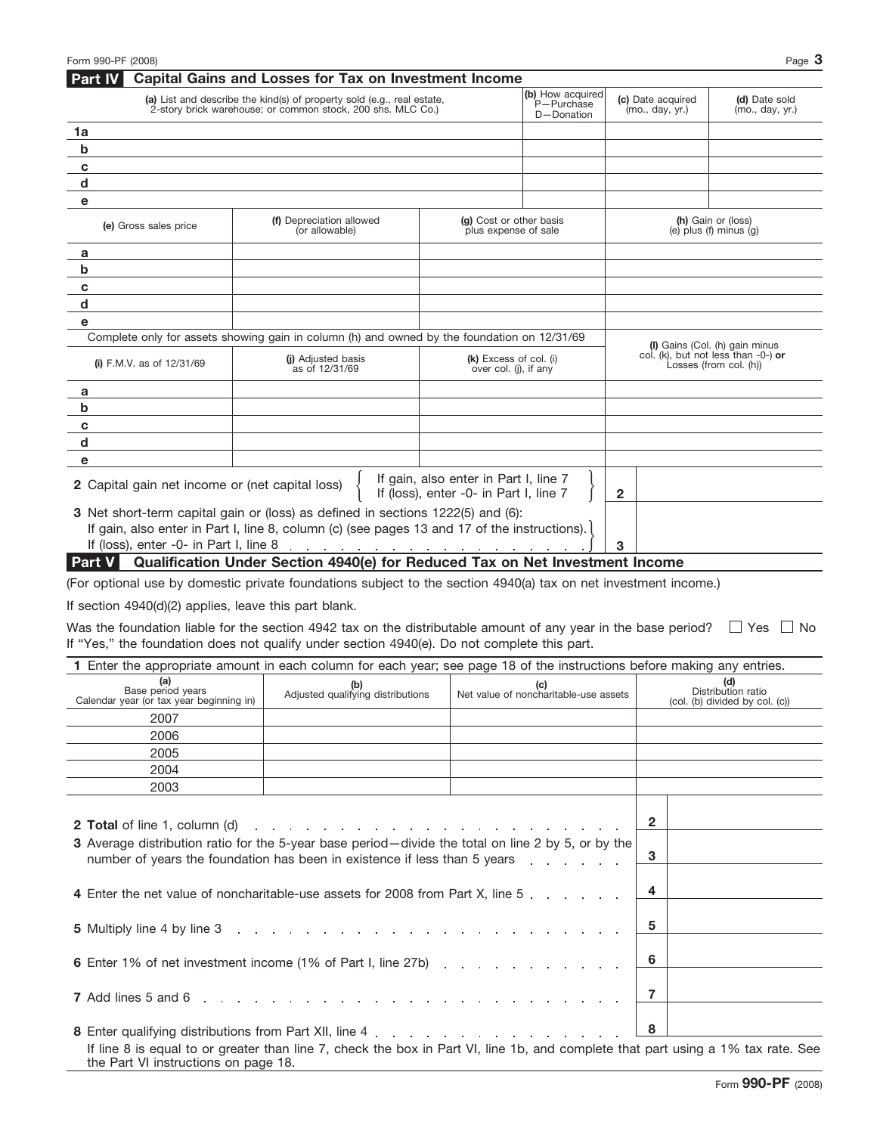| (a) List and describe the kind(s) of property sold (e.g., real estate,<br>2-story brick warehouse; or common stock, 200 shs. MLC Co.)          |                                                                                                                                                                                                                                |                                                 | (b) How acquired<br>P-Purchase<br>D-Donation | (c) Date acquired<br>(mo., day, yr.) | (d) Date sold<br>(mo., day, yr.)                                                                   |
|------------------------------------------------------------------------------------------------------------------------------------------------|--------------------------------------------------------------------------------------------------------------------------------------------------------------------------------------------------------------------------------|-------------------------------------------------|----------------------------------------------|--------------------------------------|----------------------------------------------------------------------------------------------------|
| 1a                                                                                                                                             |                                                                                                                                                                                                                                |                                                 |                                              |                                      |                                                                                                    |
| b                                                                                                                                              |                                                                                                                                                                                                                                |                                                 |                                              |                                      |                                                                                                    |
| c                                                                                                                                              |                                                                                                                                                                                                                                |                                                 |                                              |                                      |                                                                                                    |
| d                                                                                                                                              |                                                                                                                                                                                                                                |                                                 |                                              |                                      |                                                                                                    |
| е                                                                                                                                              |                                                                                                                                                                                                                                |                                                 |                                              |                                      |                                                                                                    |
| (e) Gross sales price                                                                                                                          | (f) Depreciation allowed<br>(or allowable)                                                                                                                                                                                     | (g) Cost or other basis<br>plus expense of sale |                                              |                                      | (h) Gain or (loss)<br>(e) $plus$ (f) $minus$ (g)                                                   |
| а                                                                                                                                              |                                                                                                                                                                                                                                |                                                 |                                              |                                      |                                                                                                    |
| b                                                                                                                                              |                                                                                                                                                                                                                                |                                                 |                                              |                                      |                                                                                                    |
| c                                                                                                                                              |                                                                                                                                                                                                                                |                                                 |                                              |                                      |                                                                                                    |
| d                                                                                                                                              |                                                                                                                                                                                                                                |                                                 |                                              |                                      |                                                                                                    |
| е                                                                                                                                              |                                                                                                                                                                                                                                |                                                 |                                              |                                      |                                                                                                    |
|                                                                                                                                                | Complete only for assets showing gain in column (h) and owned by the foundation on 12/31/69                                                                                                                                    |                                                 |                                              |                                      |                                                                                                    |
| (i) F.M.V. as of $12/31/69$                                                                                                                    | (i) Adjusted basis<br>as of 12/31/69                                                                                                                                                                                           | (k) Excess of col. (i)<br>over col. (j), if any |                                              |                                      | (I) Gains (Col. (h) gain minus<br>col. (k), but not less than $-0$ -) or<br>Losses (from col. (h)) |
|                                                                                                                                                |                                                                                                                                                                                                                                |                                                 |                                              |                                      |                                                                                                    |
| a<br>b                                                                                                                                         |                                                                                                                                                                                                                                |                                                 |                                              |                                      |                                                                                                    |
| c                                                                                                                                              |                                                                                                                                                                                                                                |                                                 |                                              |                                      |                                                                                                    |
| d                                                                                                                                              |                                                                                                                                                                                                                                |                                                 |                                              |                                      |                                                                                                    |
|                                                                                                                                                |                                                                                                                                                                                                                                |                                                 |                                              |                                      |                                                                                                    |
| е<br>2 Capital gain net income or (net capital loss)                                                                                           |                                                                                                                                                                                                                                | If gain, also enter in Part I, line 7           |                                              |                                      |                                                                                                    |
|                                                                                                                                                |                                                                                                                                                                                                                                | If (loss), enter -0- in Part I, line 7          |                                              | $\mathbf{2}$                         |                                                                                                    |
|                                                                                                                                                | 3 Net short-term capital gain or (loss) as defined in sections 1222(5) and (6):<br>If gain, also enter in Part I, line 8, column (c) (see pages 13 and 17 of the instructions).                                                |                                                 |                                              |                                      |                                                                                                    |
|                                                                                                                                                |                                                                                                                                                                                                                                |                                                 |                                              | 3                                    |                                                                                                    |
| <b>Part V</b>                                                                                                                                  | Qualification Under Section 4940(e) for Reduced Tax on Net Investment Income                                                                                                                                                   |                                                 |                                              |                                      |                                                                                                    |
|                                                                                                                                                | (For optional use by domestic private foundations subject to the section 4940(a) tax on net investment income.)                                                                                                                |                                                 |                                              |                                      |                                                                                                    |
| If section 4940(d)(2) applies, leave this part blank.                                                                                          |                                                                                                                                                                                                                                |                                                 |                                              |                                      |                                                                                                    |
|                                                                                                                                                | Was the foundation liable for the section 4942 tax on the distributable amount of any year in the base period?                                                                                                                 |                                                 |                                              |                                      | $\Box$ Yes<br>l I No                                                                               |
|                                                                                                                                                | If "Yes," the foundation does not qualify under section 4940(e). Do not complete this part.                                                                                                                                    |                                                 |                                              |                                      |                                                                                                    |
|                                                                                                                                                | 1 Enter the appropriate amount in each column for each year; see page 18 of the instructions before making any entries.                                                                                                        |                                                 |                                              |                                      |                                                                                                    |
| (a)<br>Base period years<br>Calendar year (or tax year beginning in)                                                                           | (b)<br>Adjusted qualifying distributions                                                                                                                                                                                       |                                                 | (c)<br>Net value of noncharitable-use assets |                                      | (d)<br>Distribution ratio<br>(col. (b) divided by col. (c))                                        |
| 2007                                                                                                                                           |                                                                                                                                                                                                                                |                                                 |                                              |                                      |                                                                                                    |
| 2006                                                                                                                                           |                                                                                                                                                                                                                                |                                                 |                                              |                                      |                                                                                                    |
| 2005                                                                                                                                           |                                                                                                                                                                                                                                |                                                 |                                              |                                      |                                                                                                    |
| 2004                                                                                                                                           |                                                                                                                                                                                                                                |                                                 |                                              |                                      |                                                                                                    |
| 2003                                                                                                                                           |                                                                                                                                                                                                                                |                                                 |                                              |                                      |                                                                                                    |
| <b>2 Total</b> of line 1, column (d)                                                                                                           | and the contract of the contract of the contract of the contract of the contract of                                                                                                                                            |                                                 |                                              | 2                                    |                                                                                                    |
|                                                                                                                                                | 3 Average distribution ratio for the 5-year base period-divide the total on line 2 by 5, or by the<br>number of years the foundation has been in existence if less than 5 years                                                |                                                 | and the company of the company of            | 3                                    |                                                                                                    |
|                                                                                                                                                |                                                                                                                                                                                                                                |                                                 |                                              |                                      |                                                                                                    |
|                                                                                                                                                | 4 Enter the net value of noncharitable-use assets for 2008 from Part X, line 5                                                                                                                                                 |                                                 |                                              | 4                                    |                                                                                                    |
| 5 Multiply line 4 by line 3<br>the contract of the contract of the contract of the contract of the contract of the contract of the contract of |                                                                                                                                                                                                                                |                                                 | 5                                            |                                      |                                                                                                    |
|                                                                                                                                                | 6 Enter 1% of net investment income (1% of Part I, line 27b)                                                                                                                                                                   |                                                 |                                              | 6                                    |                                                                                                    |
| 7 Add lines 5 and 6                                                                                                                            |                                                                                                                                                                                                                                | the contract of the contract of the             |                                              | 7                                    |                                                                                                    |
|                                                                                                                                                | 8 Enter qualifying distributions from Part XII, line 4 enter and the state of the state of the state of the state of the state of the state of the state of the state of the state of the state of the state of the state of t |                                                 |                                              | 8                                    |                                                                                                    |
| the Part VI instructions on page 18.                                                                                                           | If line 8 is equal to or greater than line 7, check the box in Part VI, line 1b, and complete that part using a 1% tax rate. See                                                                                               |                                                 |                                              |                                      |                                                                                                    |

**Capital Gains and Losses for Tax on Investment Income Part IV**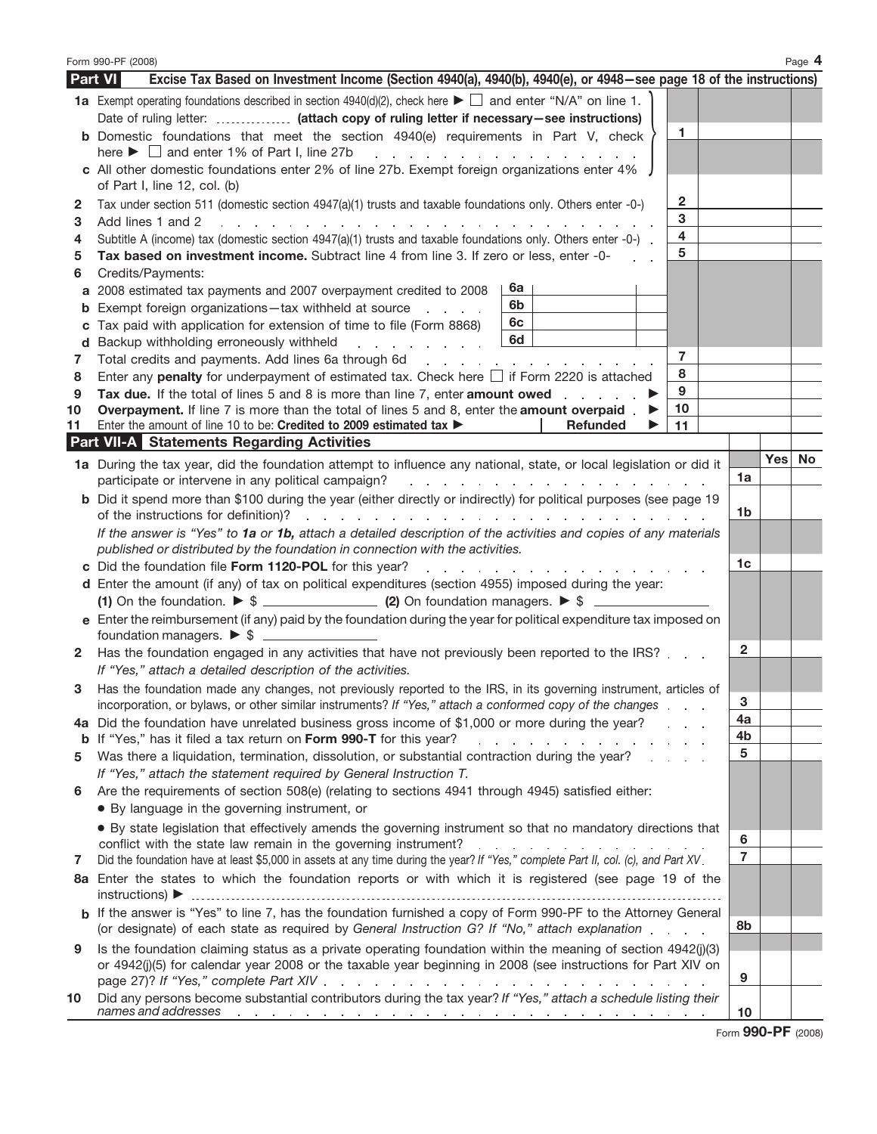|         | Form 990-PF (2008)<br>Page 4                                                                                                                                                                                                                                          |                |     |    |  |  |
|---------|-----------------------------------------------------------------------------------------------------------------------------------------------------------------------------------------------------------------------------------------------------------------------|----------------|-----|----|--|--|
|         | Excise Tax Based on Investment Income (Section 4940(a), 4940(b), 4940(e), or 4948–see page 18 of the instructions)<br>Part VI                                                                                                                                         |                |     |    |  |  |
|         | <b>1a</b> Exempt operating foundations described in section 4940(d)(2), check here $\blacktriangleright \Box$ and enter "N/A" on line 1.                                                                                                                              |                |     |    |  |  |
|         | Date of ruling letter:  (attach copy of ruling letter if necessary-see instructions)                                                                                                                                                                                  |                |     |    |  |  |
|         | 1<br><b>b</b> Domestic foundations that meet the section 4940(e) requirements in Part V, check                                                                                                                                                                        |                |     |    |  |  |
|         | here $\blacktriangleright$ $\Box$ and enter 1% of Part I, line 27b<br>and a series of the contract of the contract of                                                                                                                                                 |                |     |    |  |  |
|         | c All other domestic foundations enter 2% of line 27b. Exempt foreign organizations enter 4%                                                                                                                                                                          |                |     |    |  |  |
|         | of Part I, line 12, col. (b)                                                                                                                                                                                                                                          |                |     |    |  |  |
| 2       | 2<br>Tax under section 511 (domestic section 4947(a)(1) trusts and taxable foundations only. Others enter -0-)<br>3                                                                                                                                                   |                |     |    |  |  |
| 3<br>4  | Add lines 1 and 2<br>the contract of the contract of the contract of the contract of the contract of the contract of the contract of<br>$\overline{4}$<br>Subtitle A (income) tax (domestic section 4947(a)(1) trusts and taxable foundations only. Others enter -0-) |                |     |    |  |  |
| 5       | 5<br>Tax based on investment income. Subtract line 4 from line 3. If zero or less, enter -0-                                                                                                                                                                          |                |     |    |  |  |
| 6       | Credits/Payments:                                                                                                                                                                                                                                                     |                |     |    |  |  |
|         | 6а<br>a 2008 estimated tax payments and 2007 overpayment credited to 2008                                                                                                                                                                                             |                |     |    |  |  |
|         | 6b<br><b>b</b> Exempt foreign organizations-tax withheld at source                                                                                                                                                                                                    |                |     |    |  |  |
| С       | 6с<br>Tax paid with application for extension of time to file (Form 8868)                                                                                                                                                                                             |                |     |    |  |  |
|         | 6d<br>d Backup withholding erroneously withheld<br>and a state of the state of the                                                                                                                                                                                    |                |     |    |  |  |
| 7       | $\overline{7}$                                                                                                                                                                                                                                                        |                |     |    |  |  |
| 8       | 8<br>Enter any penalty for underpayment of estimated tax. Check here $\Box$ if Form 2220 is attached<br>9                                                                                                                                                             |                |     |    |  |  |
| 9<br>10 | Tax due. If the total of lines 5 and 8 is more than line 7, enter amount owed<br>10<br>Overpayment. If line 7 is more than the total of lines 5 and 8, enter the amount overpaid.                                                                                     |                |     |    |  |  |
| 11      | 11<br>Enter the amount of line 10 to be: Credited to 2009 estimated tax ><br>Refunded                                                                                                                                                                                 |                |     |    |  |  |
|         | <b>Part VII-A</b> Statements Regarding Activities                                                                                                                                                                                                                     |                |     |    |  |  |
|         | 1a During the tax year, did the foundation attempt to influence any national, state, or local legislation or did it                                                                                                                                                   |                | Yes | No |  |  |
|         | participate or intervene in any political campaign?<br>in a<br>the contract of the contract of the contract of the contract of the contract of the contract of the contract of                                                                                        | 1a             |     |    |  |  |
|         | <b>b</b> Did it spend more than \$100 during the year (either directly or indirectly) for political purposes (see page 19                                                                                                                                             |                |     |    |  |  |
|         | of the instructions for definition)?<br>والمتواطن والمتواطن والمتواطن والمتواطن والمتواطن والمتواطن والمتواطن والمتواطن                                                                                                                                               | 1b             |     |    |  |  |
|         | If the answer is "Yes" to 1a or 1b, attach a detailed description of the activities and copies of any materials                                                                                                                                                       |                |     |    |  |  |
|         | published or distributed by the foundation in connection with the activities.                                                                                                                                                                                         | 1c             |     |    |  |  |
|         | c Did the foundation file Form 1120-POL for this year?<br>and a series of the contract of the contract of the<br>d Enter the amount (if any) of tax on political expenditures (section 4955) imposed during the year:                                                 |                |     |    |  |  |
|         |                                                                                                                                                                                                                                                                       |                |     |    |  |  |
|         | e Enter the reimbursement (if any) paid by the foundation during the year for political expenditure tax imposed on                                                                                                                                                    |                |     |    |  |  |
|         |                                                                                                                                                                                                                                                                       |                |     |    |  |  |
|         | 2 Has the foundation engaged in any activities that have not previously been reported to the IRS?                                                                                                                                                                     | 2              |     |    |  |  |
|         | If "Yes," attach a detailed description of the activities.                                                                                                                                                                                                            |                |     |    |  |  |
| 3       | Has the foundation made any changes, not previously reported to the IRS, in its governing instrument, articles of                                                                                                                                                     |                |     |    |  |  |
|         | incorporation, or bylaws, or other similar instruments? If "Yes," attach a conformed copy of the changes                                                                                                                                                              | 3<br>4a        |     |    |  |  |
|         | 4a Did the foundation have unrelated business gross income of \$1,000 or more during the year?<br>b If "Yes," has it filed a tax return on Form 990-T for this year?                                                                                                  | 4b             |     |    |  |  |
| 5       | the contract of the contract of the con-<br>Was there a liquidation, termination, dissolution, or substantial contraction during the year?                                                                                                                            | 5              |     |    |  |  |
|         | If "Yes," attach the statement required by General Instruction T.                                                                                                                                                                                                     |                |     |    |  |  |
| 6       | Are the requirements of section 508(e) (relating to sections 4941 through 4945) satisfied either:                                                                                                                                                                     |                |     |    |  |  |
|         | • By language in the governing instrument, or                                                                                                                                                                                                                         |                |     |    |  |  |
|         | • By state legislation that effectively amends the governing instrument so that no mandatory directions that                                                                                                                                                          |                |     |    |  |  |
|         |                                                                                                                                                                                                                                                                       | 6              |     |    |  |  |
| 7       | Did the foundation have at least \$5,000 in assets at any time during the year? If "Yes," complete Part II, col. (c), and Part XV.                                                                                                                                    | $\overline{7}$ |     |    |  |  |
|         | 8a Enter the states to which the foundation reports or with which it is registered (see page 19 of the                                                                                                                                                                |                |     |    |  |  |
|         | b If the answer is "Yes" to line 7, has the foundation furnished a copy of Form 990-PF to the Attorney General                                                                                                                                                        | 8b             |     |    |  |  |
|         | (or designate) of each state as required by General Instruction G? If "No," attach explanation                                                                                                                                                                        |                |     |    |  |  |
| 9       | Is the foundation claiming status as a private operating foundation within the meaning of section 4942(j)(3)                                                                                                                                                          |                |     |    |  |  |
|         | or 4942(j)(5) for calendar year 2008 or the taxable year beginning in 2008 (see instructions for Part XIV on                                                                                                                                                          | 9              |     |    |  |  |
| 10      | Did any persons become substantial contributors during the tax year? If "Yes," attach a schedule listing their                                                                                                                                                        |                |     |    |  |  |
|         | names and addresses experience and addresses and addresses and addresses and addresses and addresses and addresses                                                                                                                                                    | 10             |     |    |  |  |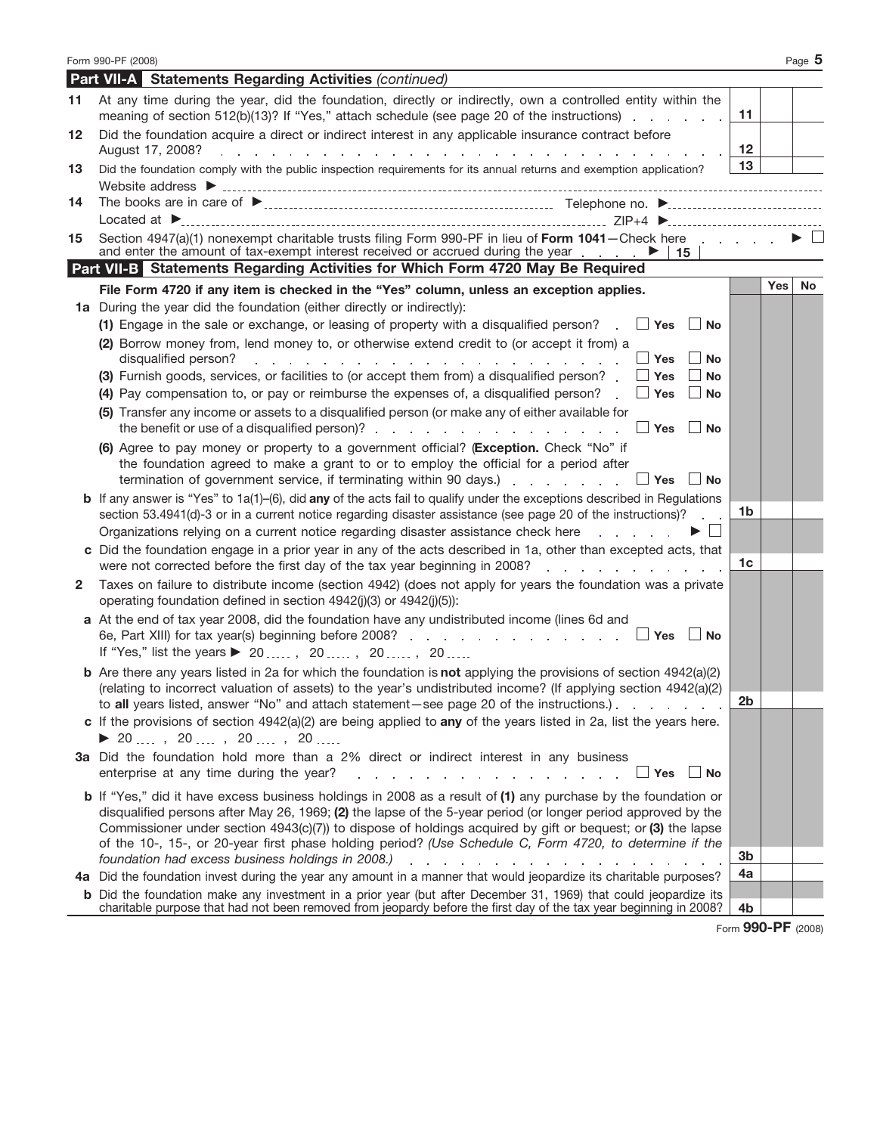|              | Form 990-PF (2008)                                                                                                                                                                                                                                 |    | Page 5           |
|--------------|----------------------------------------------------------------------------------------------------------------------------------------------------------------------------------------------------------------------------------------------------|----|------------------|
|              | <b>Part VII-A</b> Statements Regarding Activities (continued)                                                                                                                                                                                      |    |                  |
| 11           | At any time during the year, did the foundation, directly or indirectly, own a controlled entity within the<br>meaning of section 512(b)(13)? If "Yes," attach schedule (see page 20 of the instructions)                                          | 11 |                  |
| 12           | Did the foundation acquire a direct or indirect interest in any applicable insurance contract before<br>August 17, 2008?<br>المنافذ والمنافي والمنافي والمنافي والمنافي والمنافي والمنافي والمنافي والمنافي                                        | 12 |                  |
| 13           | Did the foundation comply with the public inspection requirements for its annual returns and exemption application?                                                                                                                                | 13 |                  |
| 14           | Located at Decomposition and the Contract of the Contract of the Contract of the Contract of the Contract of the Contract of the Contract of the Contract of the Contract of the Contract of the Contract of the Contract of t                     |    |                  |
| 15           | Section 4947(a)(1) nonexempt charitable trusts filing Form 990-PF in lieu of Form 1041-Check here<br>and enter the amount of tax-exempt interest received or accrued during the year $\ldots$ $\blacktriangleright$   15                           |    |                  |
|              | Part VII-B Statements Regarding Activities for Which Form 4720 May Be Required                                                                                                                                                                     |    |                  |
|              | File Form 4720 if any item is checked in the "Yes" column, unless an exception applies.                                                                                                                                                            |    | Yes<br><b>No</b> |
|              | 1a During the year did the foundation (either directly or indirectly):                                                                                                                                                                             |    |                  |
|              | (1) Engage in the sale or exchange, or leasing of property with a disqualified person? $\Box$ Yes $\Box$ No                                                                                                                                        |    |                  |
|              | (2) Borrow money from, lend money to, or otherwise extend credit to (or accept it from) a                                                                                                                                                          |    |                  |
|              | $\Box$ Yes<br>disqualified person?<br><b>No</b><br>de la provincia de la provincia de la provincia de la provincia de la provincia de la provincia de la provincia                                                                                 |    |                  |
|              | (3) Furnish goods, services, or facilities to (or accept them from) a disqualified person?<br>$\Box$ Yes<br><b>No</b>                                                                                                                              |    |                  |
|              | (4) Pay compensation to, or pay or reimburse the expenses of, a disqualified person?<br>$\Box$ Yes<br>$\Box$ No                                                                                                                                    |    |                  |
|              | (5) Transfer any income or assets to a disqualified person (or make any of either available for                                                                                                                                                    |    |                  |
|              | the benefit or use of a disqualified person)? $\blacksquare$ . The set of a disqualified person)? $\blacksquare$ . The set of a disqualified person)?<br>∣ ∣No                                                                                     |    |                  |
|              | (6) Agree to pay money or property to a government official? (Exception. Check "No" if<br>the foundation agreed to make a grant to or to employ the official for a period after                                                                    |    |                  |
|              | termination of government service, if terminating within 90 days.) $\ldots$ $\ldots$ $\ldots$<br>  No                                                                                                                                              |    |                  |
|              | <b>b</b> If any answer is "Yes" to $1a(1)$ –(6), did any of the acts fail to qualify under the exceptions described in Regulations<br>section 53.4941(d)-3 or in a current notice regarding disaster assistance (see page 20 of the instructions)? | 1b |                  |
|              | Organizations relying on a current notice regarding disaster assistance check here<br>and the state of the                                                                                                                                         |    |                  |
|              | c Did the foundation engage in a prior year in any of the acts described in 1a, other than excepted acts, that                                                                                                                                     |    |                  |
|              | were not corrected before the first day of the tax year beginning in 2008?<br>design and a state of the state of                                                                                                                                   | 1c |                  |
| $\mathbf{2}$ | Taxes on failure to distribute income (section 4942) (does not apply for years the foundation was a private<br>operating foundation defined in section 4942(j)(3) or 4942(j)(5)):                                                                  |    |                  |
|              | a At the end of tax year 2008, did the foundation have any undistributed income (lines 6d and                                                                                                                                                      |    |                  |
|              | ∣ ∣No                                                                                                                                                                                                                                              |    |                  |
|              | If "Yes," list the years ▶ 20, 20, 20, 20                                                                                                                                                                                                          |    |                  |
|              | <b>b</b> Are there any years listed in 2a for which the foundation is not applying the provisions of section $4942(a)(2)$                                                                                                                          |    |                  |
|              | (relating to incorrect valuation of assets) to the year's undistributed income? (If applying section 4942(a)(2)<br>to all years listed, answer "No" and attach statement—see page 20 of the instructions.).                                        | 2b |                  |
|              | c If the provisions of section $4942(a)(2)$ are being applied to any of the years listed in 2a, list the years here.                                                                                                                               |    |                  |
|              | ▶ 20 …, 20 …, 20 …, 20 …, 20 ……                                                                                                                                                                                                                    |    |                  |
|              | 3a Did the foundation hold more than a 2% direct or indirect interest in any business                                                                                                                                                              |    |                  |
|              | enterprise at any time during the year?<br>and a series of the contract of the contract of the<br>_  Yes  __  No                                                                                                                                   |    |                  |
|              | <b>b</b> If "Yes," did it have excess business holdings in 2008 as a result of (1) any purchase by the foundation or<br>disqualified persons after May 26, 1969; (2) the lapse of the 5-year period (or longer period approved by the              |    |                  |
|              | Commissioner under section 4943(c)(7)) to dispose of holdings acquired by gift or bequest; or (3) the lapse                                                                                                                                        |    |                  |
|              | of the 10-, 15-, or 20-year first phase holding period? (Use Schedule C, Form 4720, to determine if the                                                                                                                                            |    |                  |
|              | foundation had excess business holdings in 2008.) The contract of the contract of the contract of the contract of the contract of the contract of the contract of the contract of the contract of the contract of the contract                     | 3b |                  |
|              | 4a Did the foundation invest during the year any amount in a manner that would jeopardize its charitable purposes?                                                                                                                                 | 4a |                  |
|              | <b>b</b> Did the foundation make any investment in a prior year (but after December 31, 1969) that could jeopardize its                                                                                                                            |    |                  |
|              | charitable purpose that had not been removed from jeopardy before the first day of the tax year beginning in 2008?                                                                                                                                 | 4b |                  |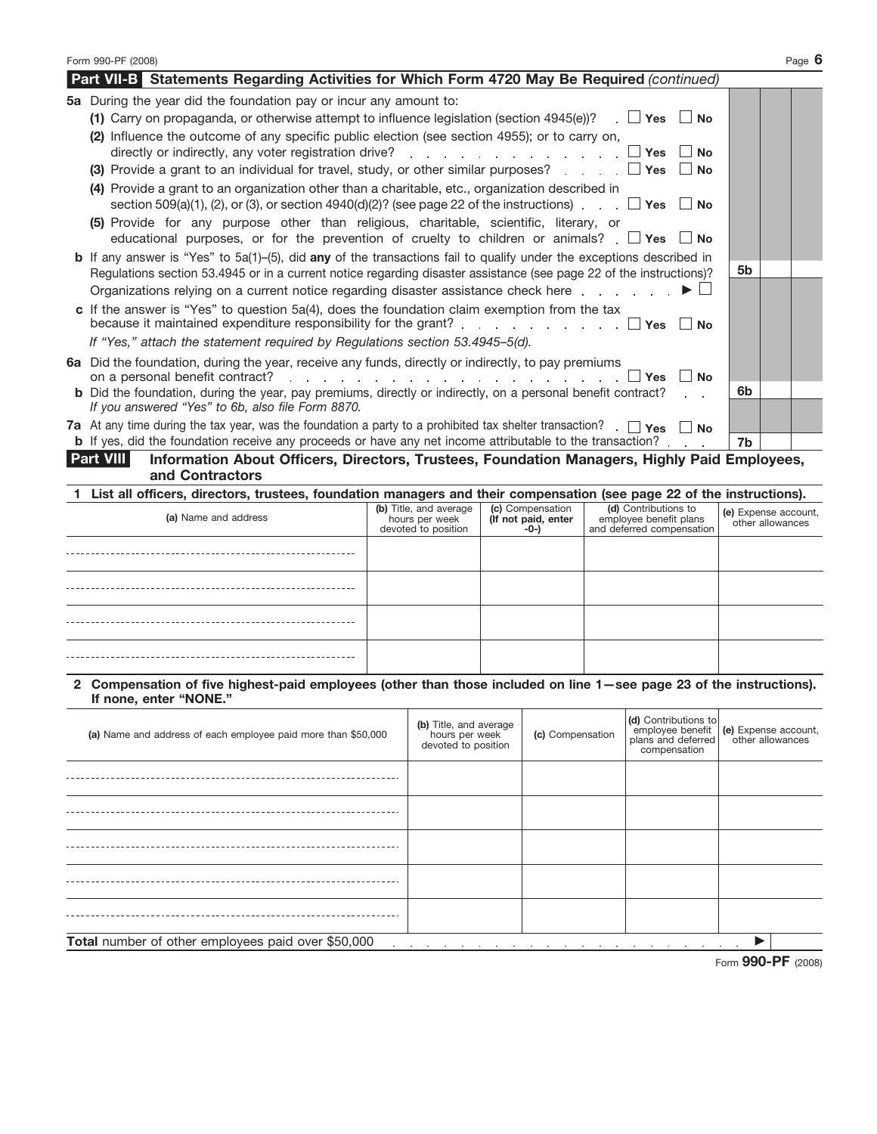| Form 990-PF (2008)                                                                                                                                                                                                         |                  | Page 6               |
|----------------------------------------------------------------------------------------------------------------------------------------------------------------------------------------------------------------------------|------------------|----------------------|
| <b>Part VII-B</b> Statements Regarding Activities for Which Form 4720 May Be Required (continued)                                                                                                                          |                  |                      |
| 5a During the year did the foundation pay or incur any amount to:                                                                                                                                                          |                  |                      |
| (1) Carry on propaganda, or otherwise attempt to influence legislation (section 4945(e))? $\Box$ Yes $\Box$ No                                                                                                             |                  |                      |
| (2) Influence the outcome of any specific public election (see section 4955); or to carry on,<br>directly or indirectly, any voter registration drive? $\ldots$ , $\ldots$ , $\ldots$ , $\ldots$ , $\Box$ Yes<br><b>No</b> |                  |                      |
| (3) Provide a grant to an individual for travel, study, or other similar purposes? $\Box$ Yes $\Box$<br><b>No</b>                                                                                                          |                  |                      |
| (4) Provide a grant to an organization other than a charitable, etc., organization described in<br>section 509(a)(1), (2), or (3), or section 4940(d)(2)? (see page 22 of the instructions). $\Box$ Yes $\Box$ No          |                  |                      |
| (5) Provide for any purpose other than religious, charitable, scientific, literary, or<br>educational purposes, or for the prevention of cruelty to children or animals? $\Box$ Yes $\Box$ No                              |                  |                      |
| <b>b</b> If any answer is "Yes" to $5a(1)$ –(5), did any of the transactions fail to qualify under the exceptions described in                                                                                             |                  |                      |
| Regulations section 53.4945 or in a current notice regarding disaster assistance (see page 22 of the instructions)?                                                                                                        | 5b               |                      |
| Organizations relying on a current notice regarding disaster assistance check here $\Box$                                                                                                                                  |                  |                      |
| c If the answer is "Yes" to question $5a(4)$ , does the foundation claim exemption from the tax<br>because it maintained expenditure responsibility for the grant? $\Box$ Yes $\Box$<br><b>No</b>                          |                  |                      |
| If "Yes," attach the statement required by Regulations section 53.4945-5(d).                                                                                                                                               |                  |                      |
| 6a Did the foundation, during the year, receive any funds, directly or indirectly, to pay premiums<br>$\mathsf{I}$ No<br>l Yes                                                                                             |                  |                      |
| <b>b</b> Did the foundation, during the year, pay premiums, directly or indirectly, on a personal benefit contract?                                                                                                        | 6b               |                      |
| If you answered "Yes" to 6b, also file Form 8870.                                                                                                                                                                          |                  |                      |
| 7a At any time during the tax year, was the foundation a party to a prohibited tax shelter transaction? $\Box$ Yes $\Box$ No                                                                                               |                  |                      |
| <b>b</b> If yes, did the foundation receive any proceeds or have any net income attributable to the transaction?                                                                                                           | 7b               |                      |
| <b>Part VIII</b><br>Information About Officers, Directors, Trustees, Foundation Managers, Highly Paid Employees,<br>and Contractors                                                                                        |                  |                      |
| 1 List all officers, directors, trustees, foundation managers and their compensation (see page 22 of the instructions).                                                                                                    |                  |                      |
| (b) Title, and average<br>(c) Compensation<br>(d) Contributions to<br>(a) Name and address<br>(If not paid, enter<br>employee benefit plans<br>hours per week<br>0.1 and deferred componention<br>dovated to position      | other allowances | (e) Expense account, |

| . | devoted to position | $\cdots$<br>$-0-1$ | and deferred compensation | <b>UTTEL SULPANITIONS</b> |
|---|---------------------|--------------------|---------------------------|---------------------------|
|   |                     |                    |                           |                           |
|   |                     |                    |                           |                           |
|   |                     |                    |                           |                           |
|   |                     |                    |                           |                           |

#### **Compensation of five highest-paid employees (other than those included on line 1—see page 23 of the instructions). If none, enter "NONE." 2**

| (a) Name and address of each employee paid more than \$50,000                                                                                              | (b) Title, and average<br>hours per week<br>devoted to position | (c) Compensation | (d) Contributions to<br>employee benefit<br>plans and deferred<br>compensation | (e) Expense account,<br>other allowances |  |  |
|------------------------------------------------------------------------------------------------------------------------------------------------------------|-----------------------------------------------------------------|------------------|--------------------------------------------------------------------------------|------------------------------------------|--|--|
|                                                                                                                                                            |                                                                 |                  |                                                                                |                                          |  |  |
|                                                                                                                                                            |                                                                 |                  |                                                                                |                                          |  |  |
|                                                                                                                                                            |                                                                 |                  |                                                                                |                                          |  |  |
|                                                                                                                                                            |                                                                 |                  |                                                                                |                                          |  |  |
|                                                                                                                                                            |                                                                 |                  |                                                                                |                                          |  |  |
| Total number of other employees paid over \$50,000<br>$\sim$<br>the company of the company<br>$\sim$<br>$\sim$<br>$\sim$<br><b>Service</b><br>$\mathbf{r}$ |                                                                 |                  |                                                                                |                                          |  |  |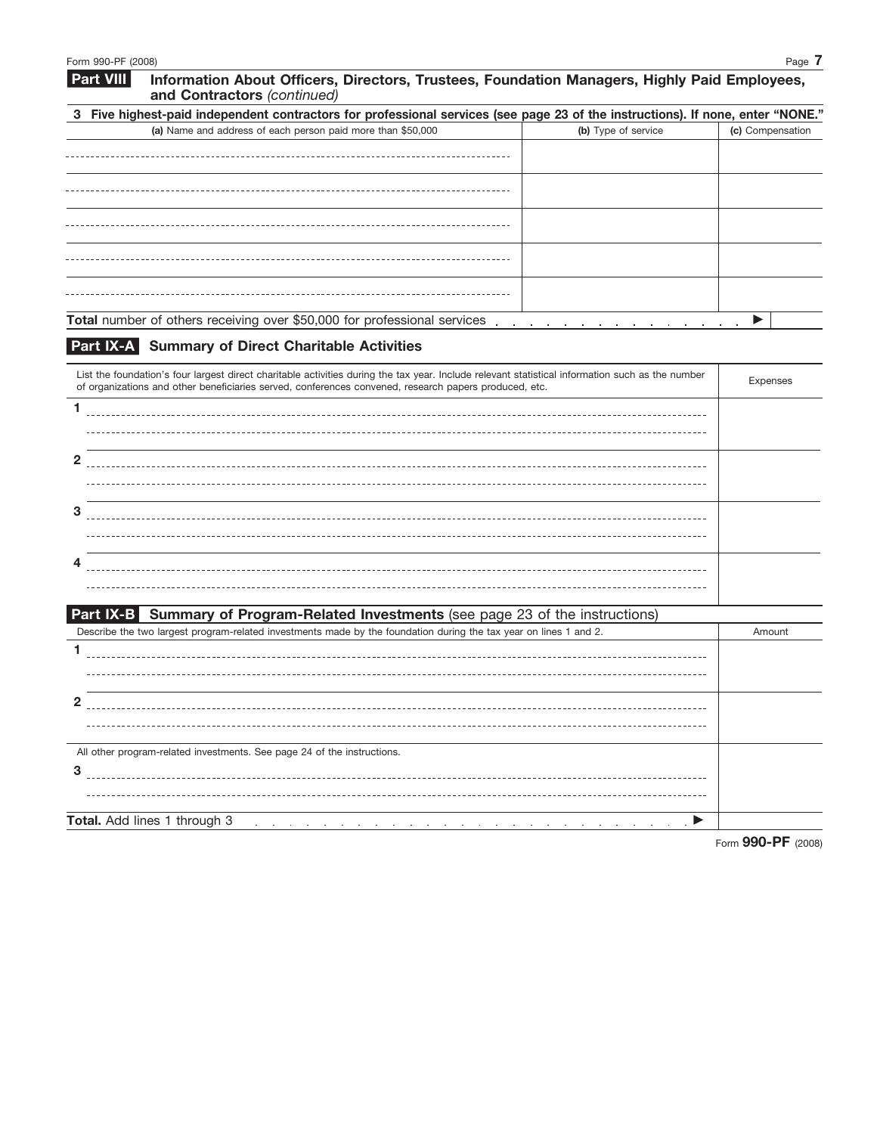| <b>Part VIII</b> | Information About Officers, Directors, Trustees, Foundation Managers, Highly Paid Employees,<br>and Contractors (continued)                                                                                                     |                     |                  |
|------------------|---------------------------------------------------------------------------------------------------------------------------------------------------------------------------------------------------------------------------------|---------------------|------------------|
|                  | 3 Five highest-paid independent contractors for professional services (see page 23 of the instructions). If none, enter "NONE."                                                                                                 |                     |                  |
|                  | (a) Name and address of each person paid more than \$50,000                                                                                                                                                                     | (b) Type of service | (c) Compensation |
|                  |                                                                                                                                                                                                                                 |                     |                  |
|                  |                                                                                                                                                                                                                                 |                     |                  |
|                  |                                                                                                                                                                                                                                 |                     |                  |
|                  |                                                                                                                                                                                                                                 |                     |                  |
|                  |                                                                                                                                                                                                                                 |                     |                  |
|                  | Total number of others receiving over \$50,000 for professional services enterstanding on the content of the state of the state of the state of the state of the state of the state of the state of the state of the state of t |                     |                  |
|                  |                                                                                                                                                                                                                                 |                     |                  |

# **Part IX-A Summary of Direct Charitable Activities**

| List the foundation's four largest direct charitable activities during the tax year. Include relevant statistical information such as the number<br>of organizations and other beneficiaries served, conferences convened, research papers produced, etc.                | Expenses |
|--------------------------------------------------------------------------------------------------------------------------------------------------------------------------------------------------------------------------------------------------------------------------|----------|
| 1.                                                                                                                                                                                                                                                                       |          |
| $\mathbf{2}$                                                                                                                                                                                                                                                             |          |
| 3                                                                                                                                                                                                                                                                        |          |
| 4                                                                                                                                                                                                                                                                        |          |
| Part IX-B Summary of Program-Related Investments (see page 23 of the instructions)                                                                                                                                                                                       |          |
| Describe the two largest program-related investments made by the foundation during the tax year on lines 1 and 2.                                                                                                                                                        | Amount   |
| 1                                                                                                                                                                                                                                                                        |          |
| $\overline{2}$                                                                                                                                                                                                                                                           |          |
| All other program-related investments. See page 24 of the instructions.                                                                                                                                                                                                  |          |
| 3                                                                                                                                                                                                                                                                        |          |
| Total. Add lines 1 through 3<br>$\blacktriangle$ . The contract of the contract of the contract of the contract of the contract of the contract of the contract of the contract of the contract of the contract of the contract of the contract of the contract of the c |          |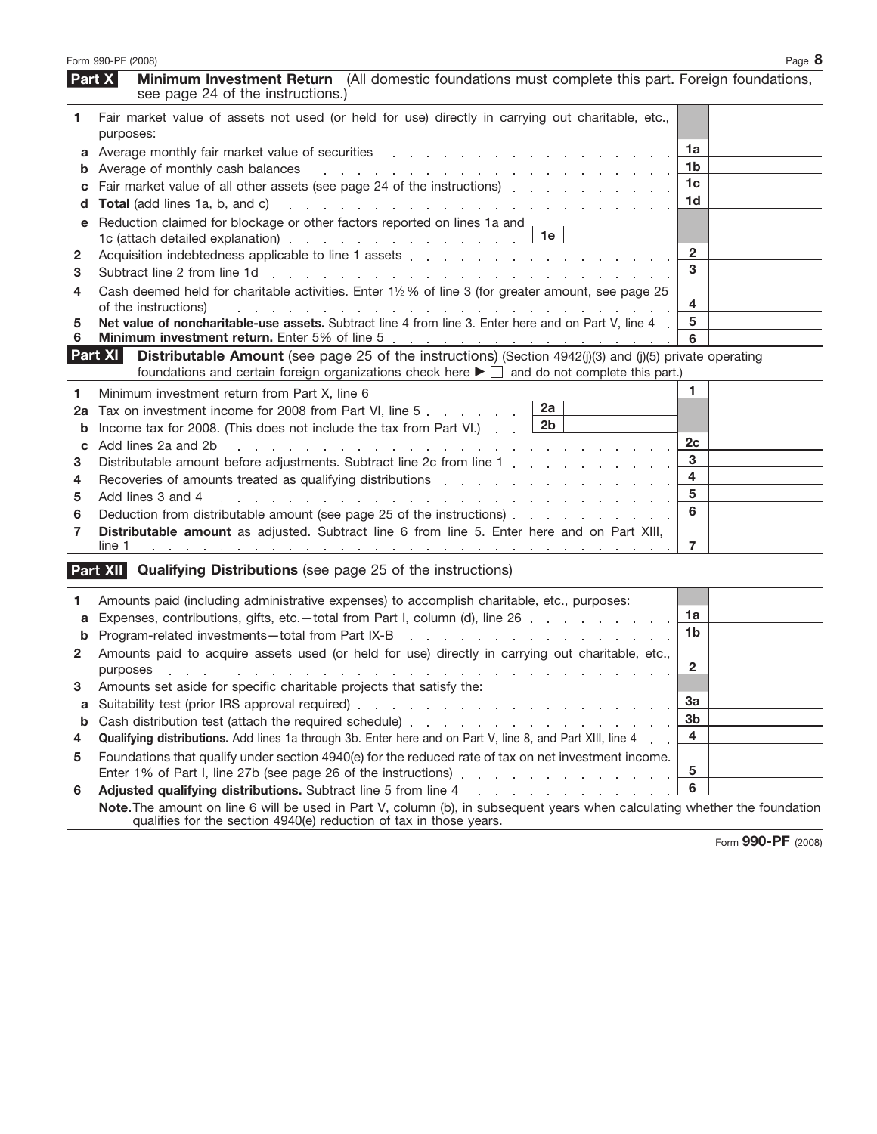|              | Form 990-PF (2008)                                                                                                                                                                                                                                                                                               |                | Page 8 |
|--------------|------------------------------------------------------------------------------------------------------------------------------------------------------------------------------------------------------------------------------------------------------------------------------------------------------------------|----------------|--------|
|              | Minimum Investment Return (All domestic foundations must complete this part. Foreign foundations,<br>Part X<br>see page 24 of the instructions.)                                                                                                                                                                 |                |        |
| 1            | Fair market value of assets not used (or held for use) directly in carrying out charitable, etc.,                                                                                                                                                                                                                |                |        |
|              | purposes:                                                                                                                                                                                                                                                                                                        |                |        |
|              | a Average monthly fair market value of securities<br>and the contract of the contract of the contract of the contract of the contract of the contract of the contract of the contract of the contract of the contract of the contract of the contract of the contract of the contra                              | 1a             |        |
|              | <b>b</b> Average of monthly cash balances<br>de la provincia de la provincia de la provincia de la provincia de                                                                                                                                                                                                  | 1b             |        |
| c            | Fair market value of all other assets (see page 24 of the instructions)                                                                                                                                                                                                                                          | 1c             |        |
| d            | <b>Total</b> (add lines 1a, b, and c)<br>and a series of the contract of the contract of the contract of the contract of                                                                                                                                                                                         | 1d             |        |
| е            | Reduction claimed for blockage or other factors reported on lines 1a and<br>1е<br>1c (attach detailed explanation) example and a series and a series of the series of the series of the series of the series of the series of the series of the series of the series of the series of the series of the series o |                |        |
| 2            | Acquisition indebtedness applicable to line 1 assets entitled assets and a set of the set of the set of the set of the set of the set of the set of the set of the set of the set of the set of the set of the set of the set                                                                                    | $\overline{2}$ |        |
| 3            | Subtract line 2 from line 1d<br>the contract of the contract of the contract of the contract of the contract of the contract of                                                                                                                                                                                  | 3              |        |
| 4            | Cash deemed held for charitable activities. Enter 11/2 % of line 3 (for greater amount, see page 25<br>of the instructions)                                                                                                                                                                                      | 4              |        |
| 5            | Net value of noncharitable-use assets. Subtract line 4 from line 3. Enter here and on Part V, line 4                                                                                                                                                                                                             | 5              |        |
| 6            |                                                                                                                                                                                                                                                                                                                  | 6              |        |
|              | <b>Distributable Amount</b> (see page 25 of the instructions) (Section $4942(j)(3)$ and (j)(5) private operating<br>Part XI<br>foundations and certain foreign organizations check here $\blacktriangleright \Box$ and do not complete this part.)                                                               |                |        |
| 1            | Minimum investment return from Part X, line 6<br>$\sim 10$                                                                                                                                                                                                                                                       | 1              |        |
| 2a           | 2a<br>Tax on investment income for 2008 from Part VI, line 5                                                                                                                                                                                                                                                     |                |        |
| b            | 2 <sub>b</sub><br>Income tax for 2008. (This does not include the tax from Part VI.)                                                                                                                                                                                                                             |                |        |
| C            | Add lines 2a and 2b<br>a constitution of the constitution of the constitution of the constitution of the constitution of the constitution of the constitution of the constitution of the constitution of the constitution of the constitution of the                                                             | 2c             |        |
| 3            | Distributable amount before adjustments. Subtract line 2c from line 1 and a contact the contact of the Distributable amount before adjustments. Subtract line 2c from line 1                                                                                                                                     | 3              |        |
| 4            | Recoveries of amounts treated as qualifying distributions enterstanding to the control of the control of the control of the control of the control of the control of the control of the control of the control of the control                                                                                    | 4              |        |
| 5            | Add lines 3 and 4<br>and a series of the contract of the contract of the contract of the contract of the contract of                                                                                                                                                                                             | 5              |        |
| 6            | Deduction from distributable amount (see page 25 of the instructions)                                                                                                                                                                                                                                            | 6              |        |
| 7            | Distributable amount as adjusted. Subtract line 6 from line 5. Enter here and on Part XIII,                                                                                                                                                                                                                      |                |        |
|              | line 1<br>the contract of the contract of the contract of the contract of the<br>the contract of the contract of the contract of the contract of                                                                                                                                                                 | 7              |        |
|              | <b>Qualifying Distributions</b> (see page 25 of the instructions)<br>Part XII                                                                                                                                                                                                                                    |                |        |
|              | Amounts paid (including administrative expenses) to accomplish charitable, etc., purposes:                                                                                                                                                                                                                       |                |        |
| a            | Expenses, contributions, gifts, etc.-total from Part I, column (d), line 26                                                                                                                                                                                                                                      | 1a             |        |
| $\mathbf b$  | Program-related investments-total from Part IX-B<br>and a straightful and a straight and                                                                                                                                                                                                                         | 1 <sub>b</sub> |        |
| $\mathbf{2}$ | Amounts paid to acquire assets used (or held for use) directly in carrying out charitable, etc.,<br>purposes                                                                                                                                                                                                     | 2              |        |
| З            | Amounts set aside for specific charitable projects that satisfy the:                                                                                                                                                                                                                                             |                |        |
| а            |                                                                                                                                                                                                                                                                                                                  | За             |        |
| b            | Cash distribution test (attach the required schedule)                                                                                                                                                                                                                                                            | 3 <sub>b</sub> |        |
| 4            | <b>Qualifying distributions.</b> Add lines 1a through 3b. Enter here and on Part V, line 8, and Part XIII, line 4                                                                                                                                                                                                | 4              |        |
| 5            | Foundations that qualify under section 4940(e) for the reduced rate of tax on net investment income.                                                                                                                                                                                                             |                |        |
|              | Enter 1% of Part I, line 27b (see page 26 of the instructions) enter and contact the state of Part I, line 27b                                                                                                                                                                                                   | 5              |        |
| 6            | Adjusted qualifying distributions. Subtract line 5 from line 4<br>and a straightful contract and a straight                                                                                                                                                                                                      | 6              |        |
|              | Note. The amount on line 6 will be used in Part V, column (b), in subsequent years when calculating whether the foundation<br>qualifies for the section 4940(e) reduction of tax in those years.                                                                                                                 |                |        |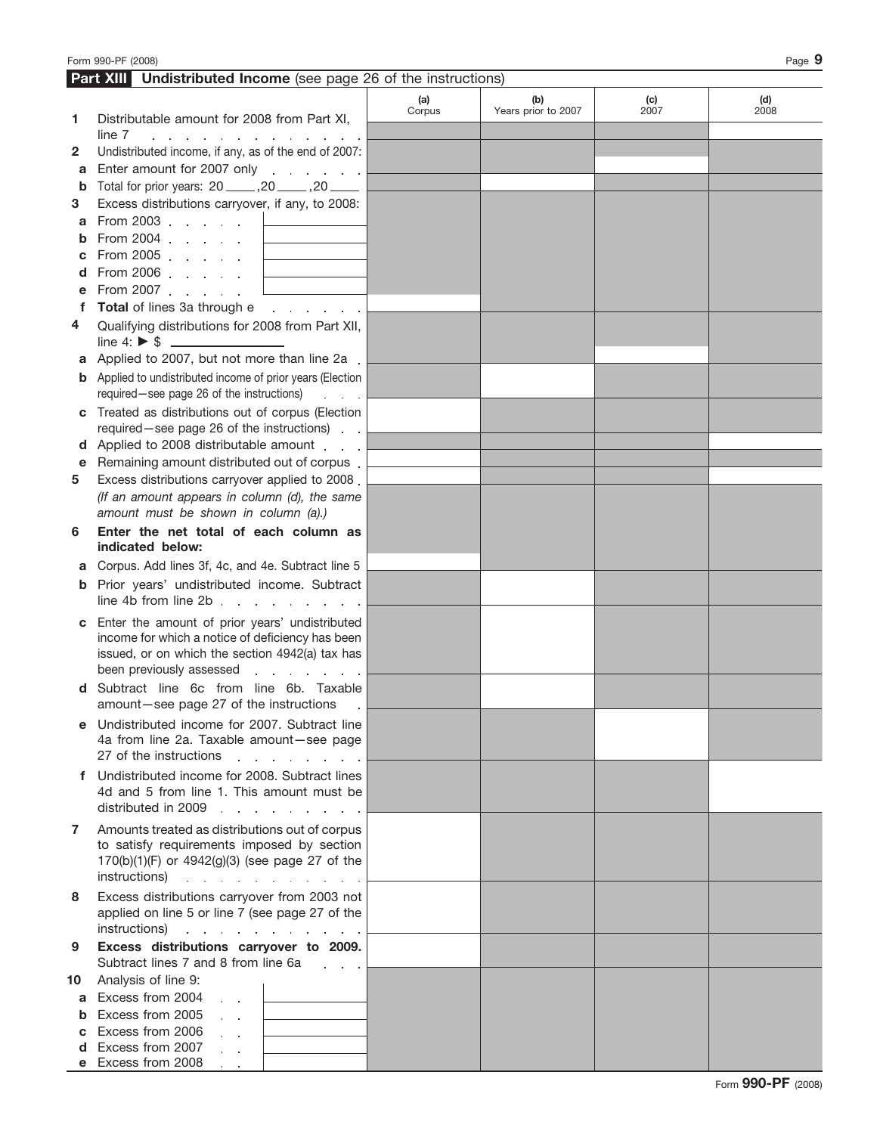|        | <b>Part XIII</b> Undistributed Income (see page 26 of the instructions)                                                                                                                                                                 |        |                     |      |      |
|--------|-----------------------------------------------------------------------------------------------------------------------------------------------------------------------------------------------------------------------------------------|--------|---------------------|------|------|
|        |                                                                                                                                                                                                                                         | (a)    | (b)                 | (c)  | (d)  |
| 1      | Distributable amount for 2008 from Part XI,                                                                                                                                                                                             | Corpus | Years prior to 2007 | 2007 | 2008 |
|        | line 7<br>a construction of the construction of the construction of the construction of the construction of the construction of the construction of the construction of the construction of the construction of the construction of the |        |                     |      |      |
| 2      | Undistributed income, if any, as of the end of 2007:                                                                                                                                                                                    |        |                     |      |      |
| a      | Enter amount for 2007 only                                                                                                                                                                                                              |        |                     |      |      |
| b      | Total for prior years: 20 _____ ,20 _____ ,20 _____                                                                                                                                                                                     |        |                     |      |      |
| 3      | Excess distributions carryover, if any, to 2008:                                                                                                                                                                                        |        |                     |      |      |
| a      | From 2003 $\Box$                                                                                                                                                                                                                        |        |                     |      |      |
|        | From 2004 $\ldots$ $\qquad \qquad$                                                                                                                                                                                                      |        |                     |      |      |
|        | From 2005 $\Box$                                                                                                                                                                                                                        |        |                     |      |      |
|        | From 2006 $\Box$                                                                                                                                                                                                                        |        |                     |      |      |
|        | From 2007 <u>Lander and the set of the set of the set of the set of the set of the set of the set of the set of the set of the set of the set of the set of the set of the set of the set of the set of the set of the</u>              |        |                     |      |      |
|        | Total of lines 3a through e                                                                                                                                                                                                             |        |                     |      |      |
|        |                                                                                                                                                                                                                                         |        |                     |      |      |
| 4      | Qualifying distributions for 2008 from Part XII,                                                                                                                                                                                        |        |                     |      |      |
|        |                                                                                                                                                                                                                                         |        |                     |      |      |
| а      | Applied to 2007, but not more than line 2a.                                                                                                                                                                                             |        |                     |      |      |
|        | <b>b</b> Applied to undistributed income of prior years (Election                                                                                                                                                                       |        |                     |      |      |
|        | required-see page 26 of the instructions)<br>and a state                                                                                                                                                                                |        |                     |      |      |
|        | c Treated as distributions out of corpus (Election                                                                                                                                                                                      |        |                     |      |      |
|        | required-see page 26 of the instructions).                                                                                                                                                                                              |        |                     |      |      |
|        | d Applied to 2008 distributable amount                                                                                                                                                                                                  |        |                     |      |      |
| е      | Remaining amount distributed out of corpus.                                                                                                                                                                                             |        |                     |      |      |
| 5.     | Excess distributions carryover applied to 2008.                                                                                                                                                                                         |        |                     |      |      |
|        | (If an amount appears in column (d), the same                                                                                                                                                                                           |        |                     |      |      |
|        | amount must be shown in column (a).)                                                                                                                                                                                                    |        |                     |      |      |
| 6      | Enter the net total of each column as                                                                                                                                                                                                   |        |                     |      |      |
|        | indicated below:                                                                                                                                                                                                                        |        |                     |      |      |
| а      | Corpus. Add lines 3f, 4c, and 4e. Subtract line 5                                                                                                                                                                                       |        |                     |      |      |
| b      | Prior years' undistributed income. Subtract                                                                                                                                                                                             |        |                     |      |      |
|        | line 4b from line $2b$ .                                                                                                                                                                                                                |        |                     |      |      |
|        | c Enter the amount of prior years' undistributed                                                                                                                                                                                        |        |                     |      |      |
|        | income for which a notice of deficiency has been                                                                                                                                                                                        |        |                     |      |      |
|        | issued, or on which the section 4942(a) tax has                                                                                                                                                                                         |        |                     |      |      |
|        | been previously assessed<br>a na sanar a sa sa                                                                                                                                                                                          |        |                     |      |      |
| d      | Subtract line 6c from line 6b. Taxable                                                                                                                                                                                                  |        |                     |      |      |
|        | amount-see page 27 of the instructions                                                                                                                                                                                                  |        |                     |      |      |
|        | e Undistributed income for 2007. Subtract line                                                                                                                                                                                          |        |                     |      |      |
|        | 4a from line 2a. Taxable amount-see page                                                                                                                                                                                                |        |                     |      |      |
|        | 27 of the instructions<br>and the company of the company                                                                                                                                                                                |        |                     |      |      |
|        | f Undistributed income for 2008. Subtract lines                                                                                                                                                                                         |        |                     |      |      |
|        | 4d and 5 from line 1. This amount must be                                                                                                                                                                                               |        |                     |      |      |
|        | distributed in 2009                                                                                                                                                                                                                     |        |                     |      |      |
| 7      | Amounts treated as distributions out of corpus                                                                                                                                                                                          |        |                     |      |      |
|        | to satisfy requirements imposed by section                                                                                                                                                                                              |        |                     |      |      |
|        | 170(b)(1)(F) or 4942(g)(3) (see page 27 of the                                                                                                                                                                                          |        |                     |      |      |
|        | instructions) and the set of the set of the set of the set of the set of the set of the set of the set of the set of the set of the set of the set of the set of the set of the set of the set of the set of the set of the se          |        |                     |      |      |
| 8      | Excess distributions carryover from 2003 not                                                                                                                                                                                            |        |                     |      |      |
|        | applied on line 5 or line 7 (see page 27 of the                                                                                                                                                                                         |        |                     |      |      |
|        | instructions)                                                                                                                                                                                                                           |        |                     |      |      |
| 9      | Excess distributions carryover to 2009.                                                                                                                                                                                                 |        |                     |      |      |
|        | Subtract lines 7 and 8 from line 6a                                                                                                                                                                                                     |        |                     |      |      |
| 10     | Analysis of line 9:                                                                                                                                                                                                                     |        |                     |      |      |
| a      | Excess from 2004<br><u>. . La componenta</u>                                                                                                                                                                                            |        |                     |      |      |
| b      | Excess from 2005<br>$\mathcal{L}^{\text{max}}$                                                                                                                                                                                          |        |                     |      |      |
|        | Excess from 2006<br>$\mathcal{L}^{\text{max}}$<br>the control of the control of the                                                                                                                                                     |        |                     |      |      |
| с<br>d | Excess from 2007                                                                                                                                                                                                                        |        |                     |      |      |
|        | and a state<br>e Excess from 2008                                                                                                                                                                                                       |        |                     |      |      |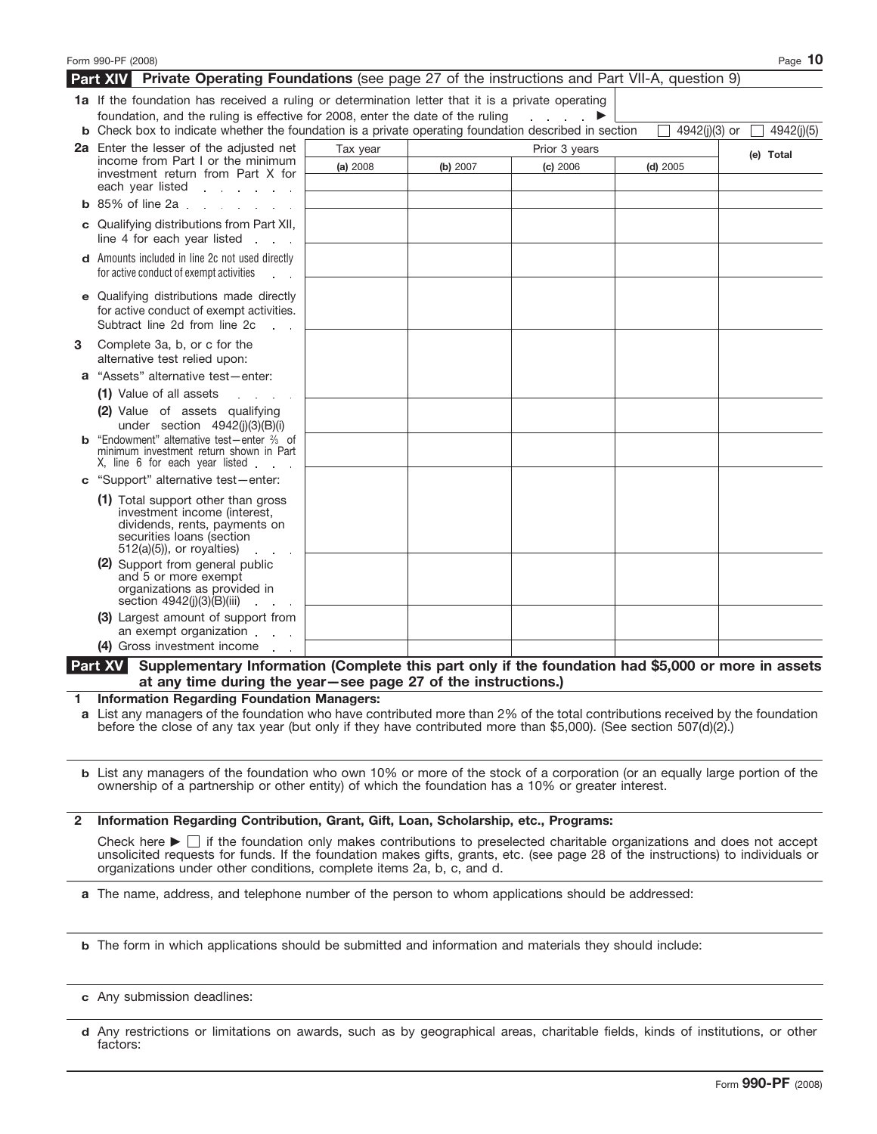|   | Form 990-PF (2008)                                                                                                                                                                         |          |          |               |               | Page 10    |
|---|--------------------------------------------------------------------------------------------------------------------------------------------------------------------------------------------|----------|----------|---------------|---------------|------------|
|   | <b>Part XIV</b> Private Operating Foundations (see page 27 of the instructions and Part VII-A, question 9)                                                                                 |          |          |               |               |            |
|   | <b>1a</b> If the foundation has received a ruling or determination letter that it is a private operating<br>foundation, and the ruling is effective for 2008, enter the date of the ruling |          |          |               |               |            |
|   | <b>b</b> Check box to indicate whether the foundation is a private operating foundation described in section                                                                               |          |          |               | 4942(j)(3) or | 4942(j)(5) |
|   | 2a Enter the lesser of the adjusted net                                                                                                                                                    | Tax year |          | Prior 3 years |               | (e) Total  |
|   | income from Part I or the minimum<br>investment return from Part X for<br>each year listed<br>and a state of the state                                                                     | (a) 2008 | (b) 2007 | (c) 2006      | $(d)$ 2005    |            |
|   | $b$ 85% of line 2a.                                                                                                                                                                        |          |          |               |               |            |
|   | c Qualifying distributions from Part XII,<br>line 4 for each year listed<br>and a state                                                                                                    |          |          |               |               |            |
|   | <b>d</b> Amounts included in line 2c not used directly<br>for active conduct of exempt activities                                                                                          |          |          |               |               |            |
|   | e Qualifying distributions made directly<br>for active conduct of exempt activities.<br>Subtract line 2d from line 2c                                                                      |          |          |               |               |            |
| 3 | Complete 3a, b, or c for the<br>alternative test relied upon:                                                                                                                              |          |          |               |               |            |
|   | "Assets" alternative test-enter:                                                                                                                                                           |          |          |               |               |            |
|   | (1) Value of all assets                                                                                                                                                                    |          |          |               |               |            |
|   | (2) Value of assets qualifying<br>under section 4942(j)(3)(B)(i)                                                                                                                           |          |          |               |               |            |
|   | "Endowment" alternative test-enter % of<br>minimum investment return shown in Part<br>X, line 6 for each year listed                                                                       |          |          |               |               |            |
|   | c "Support" alternative test-enter:                                                                                                                                                        |          |          |               |               |            |
|   | (1) Total support other than gross<br>investment income (interest,<br>dividends, rents, payments on<br>securities loans (section<br>$512(a)(5)$ , or royalties)                            |          |          |               |               |            |
|   | (2) Support from general public<br>and 5 or more exempt<br>organizations as provided in<br>section $4942(i)(3)(B)(iii)$                                                                    |          |          |               |               |            |
|   | (3) Largest amount of support from<br>an exempt organization.                                                                                                                              |          |          |               |               |            |
|   | (4) Gross investment income                                                                                                                                                                |          |          |               |               |            |
|   | <b>Part XV</b><br>Supplementary Information (Complete this part only if the foundation had \$5,000 or more in assets<br>at any time during the year-see page 27 of the instructions.)      |          |          |               |               |            |

**1 Information Regarding Foundation Managers:**

List any managers of the foundation who have contributed more than 2% of the total contributions received by the foundation **a** before the close of any tax year (but only if they have contributed more than \$5,000). (See section 507(d)(2).)

List any managers of the foundation who own 10% or more of the stock of a corporation (or an equally large portion of the **b** ownership of a partnership or other entity) of which the foundation has a 10% or greater interest.

### **2 Information Regarding Contribution, Grant, Gift, Loan, Scholarship, etc., Programs:**

Check here  $\blacktriangleright \Box$  if the foundation only makes contributions to preselected charitable organizations and does not accept unsolicited requests for funds. If the foundation makes gifts, grants, etc. (see page 28 of the instructions) to individuals or organizations under other conditions, complete items 2a, b, c, and d.

**a** The name, address, and telephone number of the person to whom applications should be addressed:

- **b** The form in which applications should be submitted and information and materials they should include:
- **c** Any submission deadlines:
- Any restrictions or limitations on awards, such as by geographical areas, charitable fields, kinds of institutions, or other **d** factors: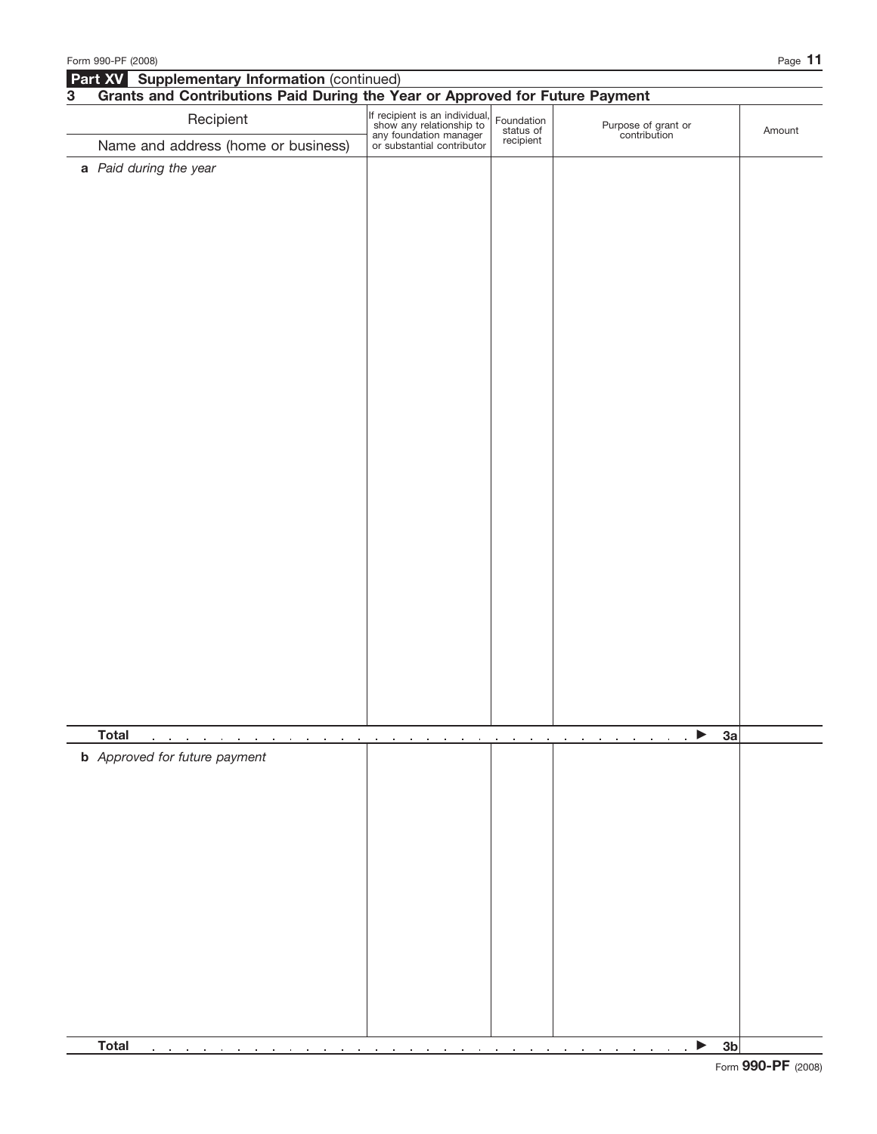|           | Form 990-PF (2008)                                                           |                                                                                                                    |                                      |                                     | Page 11 |
|-----------|------------------------------------------------------------------------------|--------------------------------------------------------------------------------------------------------------------|--------------------------------------|-------------------------------------|---------|
|           | Part XV Supplementary Information (continued)                                |                                                                                                                    |                                      |                                     |         |
| ${\bf 3}$ | Grants and Contributions Paid During the Year or Approved for Future Payment |                                                                                                                    |                                      |                                     |         |
|           | Recipient                                                                    | If recipient is an individual,<br>show any relationship to<br>any foundation manager<br>or substantial contributor | Foundation<br>status of<br>recipient | Purpose of grant or<br>contribution | Amount  |
|           | Name and address (home or business)                                          |                                                                                                                    |                                      |                                     |         |
|           | a Paid during the year                                                       |                                                                                                                    |                                      |                                     |         |
|           |                                                                              |                                                                                                                    |                                      |                                     |         |
|           |                                                                              |                                                                                                                    |                                      |                                     |         |
|           |                                                                              |                                                                                                                    |                                      |                                     |         |
|           |                                                                              |                                                                                                                    |                                      |                                     |         |
|           |                                                                              |                                                                                                                    |                                      |                                     |         |
|           |                                                                              |                                                                                                                    |                                      |                                     |         |
|           |                                                                              |                                                                                                                    |                                      |                                     |         |
|           |                                                                              |                                                                                                                    |                                      |                                     |         |
|           |                                                                              |                                                                                                                    |                                      |                                     |         |
|           |                                                                              |                                                                                                                    |                                      |                                     |         |
|           |                                                                              |                                                                                                                    |                                      |                                     |         |
|           |                                                                              |                                                                                                                    |                                      |                                     |         |
|           |                                                                              |                                                                                                                    |                                      |                                     |         |
|           |                                                                              |                                                                                                                    |                                      |                                     |         |
|           |                                                                              |                                                                                                                    |                                      |                                     |         |
|           |                                                                              |                                                                                                                    |                                      |                                     |         |
|           |                                                                              |                                                                                                                    |                                      |                                     |         |
|           |                                                                              |                                                                                                                    |                                      |                                     |         |
|           |                                                                              |                                                                                                                    |                                      |                                     |         |
|           |                                                                              |                                                                                                                    |                                      |                                     |         |
|           |                                                                              |                                                                                                                    |                                      |                                     |         |
|           |                                                                              |                                                                                                                    |                                      |                                     |         |
|           |                                                                              |                                                                                                                    |                                      |                                     |         |
|           |                                                                              |                                                                                                                    |                                      |                                     |         |
|           |                                                                              |                                                                                                                    |                                      |                                     |         |
|           |                                                                              |                                                                                                                    |                                      |                                     |         |
|           |                                                                              |                                                                                                                    |                                      |                                     |         |
|           | <b>Total</b>                                                                 |                                                                                                                    |                                      | 3a<br>$\blacktriangleright$         |         |
|           | <b>b</b> Approved for future payment                                         |                                                                                                                    |                                      |                                     |         |
|           |                                                                              |                                                                                                                    |                                      |                                     |         |
|           |                                                                              |                                                                                                                    |                                      |                                     |         |
|           |                                                                              |                                                                                                                    |                                      |                                     |         |
|           |                                                                              |                                                                                                                    |                                      |                                     |         |
|           |                                                                              |                                                                                                                    |                                      |                                     |         |
|           |                                                                              |                                                                                                                    |                                      |                                     |         |
|           |                                                                              |                                                                                                                    |                                      |                                     |         |
|           |                                                                              |                                                                                                                    |                                      |                                     |         |
|           |                                                                              |                                                                                                                    |                                      |                                     |         |
|           |                                                                              |                                                                                                                    |                                      |                                     |         |
|           |                                                                              |                                                                                                                    |                                      |                                     |         |
|           |                                                                              |                                                                                                                    |                                      |                                     |         |
|           |                                                                              |                                                                                                                    |                                      |                                     |         |
|           | <b>Total</b>                                                                 |                                                                                                                    |                                      | 3 <sub>b</sub>                      |         |
|           |                                                                              |                                                                                                                    |                                      | ▶                                   |         |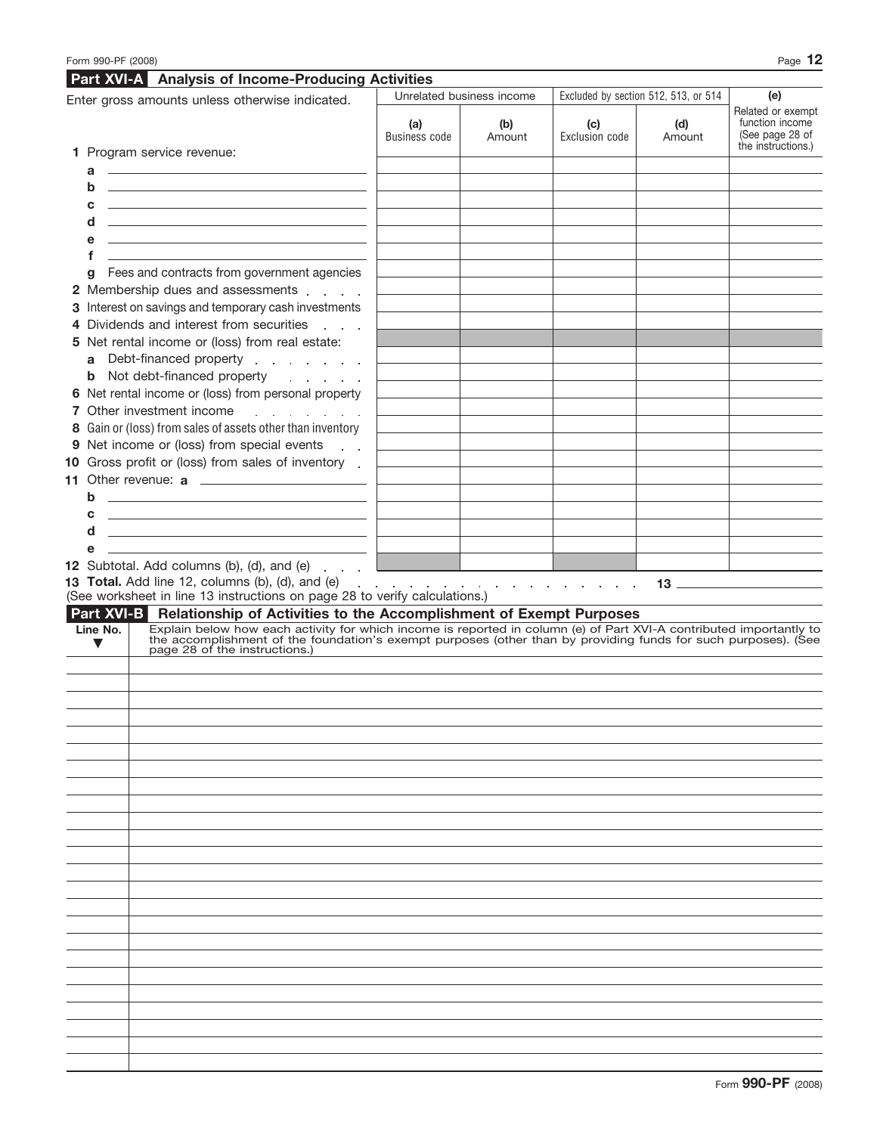| Enter gross amounts unless otherwise indicated. |                                                                                                                                                                                                                                                                | Unrelated business income   |               | Excluded by section 512, 513, or 514     | (e)           |                                                                               |
|-------------------------------------------------|----------------------------------------------------------------------------------------------------------------------------------------------------------------------------------------------------------------------------------------------------------------|-----------------------------|---------------|------------------------------------------|---------------|-------------------------------------------------------------------------------|
|                                                 | 1 Program service revenue:                                                                                                                                                                                                                                     | (a)<br><b>Business code</b> | (b)<br>Amount | (c)<br>Exclusion code                    | (d)<br>Amount | Related or exempt<br>function income<br>(See page 28 of<br>the instructions.) |
|                                                 |                                                                                                                                                                                                                                                                |                             |               |                                          |               |                                                                               |
| a<br>b                                          | <u> 2008 - Andrea Station Books, amerikansk politik (</u><br><u> 1989 - Andrea Barbara, amerikan personal dan personal dan personal dan personal dan personal dan personal dan</u>                                                                             |                             |               |                                          |               |                                                                               |
| C                                               | <u> 1989 - Andrea Stadt Britain, amerikansk politik (</u>                                                                                                                                                                                                      |                             |               |                                          |               |                                                                               |
| d                                               | <u> 1989 - Andrea Stadt Britain, amerikansk politik (</u>                                                                                                                                                                                                      |                             |               |                                          |               |                                                                               |
| e                                               | <u>and the state of the state of the state of the state of the state of the state of the state of the state of the state of the state of the state of the state of the state of the state of the state of the state of the state</u>                           |                             |               |                                          |               |                                                                               |
| f                                               | <u>and the state of the state of the state of the state of the state of the state of the state of the state of the state of the state of the state of the state of the state of the state of the state of the state of the state</u>                           |                             |               |                                          |               |                                                                               |
| g                                               | Fees and contracts from government agencies                                                                                                                                                                                                                    |                             |               |                                          |               |                                                                               |
|                                                 | 2 Membership dues and assessments                                                                                                                                                                                                                              |                             |               |                                          |               |                                                                               |
|                                                 | 3 Interest on savings and temporary cash investments                                                                                                                                                                                                           |                             |               |                                          |               |                                                                               |
|                                                 | 4 Dividends and interest from securities<br><b>Carl Carl Carl</b>                                                                                                                                                                                              |                             |               |                                          |               |                                                                               |
|                                                 | 5 Net rental income or (loss) from real estate:                                                                                                                                                                                                                |                             |               |                                          |               |                                                                               |
| a                                               | Debt-financed property enter a set of the Debt-financed property                                                                                                                                                                                               |                             |               |                                          |               |                                                                               |
|                                                 | <b>b</b> Not debt-financed property                                                                                                                                                                                                                            |                             |               |                                          |               |                                                                               |
|                                                 | 6 Net rental income or (loss) from personal property                                                                                                                                                                                                           |                             |               |                                          |               |                                                                               |
|                                                 | 7 Other investment income<br>and a state of the state                                                                                                                                                                                                          |                             |               |                                          |               |                                                                               |
|                                                 | 8 Gain or (loss) from sales of assets other than inventory                                                                                                                                                                                                     |                             |               |                                          |               |                                                                               |
|                                                 | 9 Net income or (loss) from special events                                                                                                                                                                                                                     |                             |               |                                          |               |                                                                               |
|                                                 | 10 Gross profit or (loss) from sales of inventory.                                                                                                                                                                                                             |                             |               |                                          |               |                                                                               |
|                                                 |                                                                                                                                                                                                                                                                |                             |               |                                          |               |                                                                               |
| b                                               | <u> Alexandria de la contrada de la contrada de la contrada de la contrada de la contrada de la contrada de la c</u>                                                                                                                                           |                             |               |                                          |               |                                                                               |
| С                                               | <u> 1989 - Johann Harry Harry Harry Harry Harry Harry Harry Harry Harry Harry Harry Harry Harry Harry Harry Harry</u>                                                                                                                                          |                             |               |                                          |               |                                                                               |
| d                                               | <u> 1989 - Johann Harry Harry Harry Harry Harry Harry Harry Harry Harry Harry Harry Harry Harry Harry Harry Harry</u>                                                                                                                                          |                             |               |                                          |               |                                                                               |
| е                                               |                                                                                                                                                                                                                                                                |                             |               |                                          |               |                                                                               |
|                                                 | 12 Subtotal. Add columns (b), (d), and (e)                                                                                                                                                                                                                     |                             |               |                                          |               |                                                                               |
|                                                 |                                                                                                                                                                                                                                                                |                             |               |                                          |               |                                                                               |
|                                                 | 13 Total. Add line 12, columns (b), (d), and (e)<br>$\sim$ $\sim$<br>(See worksheet in line 13 instructions on page 28 to verify calculations.)<br>Part XVI-B Relationship of Activities to the Accomplishment of Exempt Purposes                              |                             |               | the contract of the contract of the con- |               |                                                                               |
| $\blacktriangledown$                            | Explain below how each activity for which income is reported in column (e) of Part XVI-A contributed importantly to the accomplishment of the foundation's exempt purposes (other than by providing funds for such purposes).<br>page 28 of the instructions.) |                             |               |                                          |               |                                                                               |
|                                                 |                                                                                                                                                                                                                                                                |                             |               |                                          |               |                                                                               |
|                                                 |                                                                                                                                                                                                                                                                |                             |               |                                          |               |                                                                               |
|                                                 |                                                                                                                                                                                                                                                                |                             |               |                                          |               |                                                                               |
|                                                 |                                                                                                                                                                                                                                                                |                             |               |                                          |               |                                                                               |
|                                                 |                                                                                                                                                                                                                                                                |                             |               |                                          |               |                                                                               |
|                                                 |                                                                                                                                                                                                                                                                |                             |               |                                          |               |                                                                               |
|                                                 |                                                                                                                                                                                                                                                                |                             |               |                                          |               |                                                                               |
|                                                 |                                                                                                                                                                                                                                                                |                             |               |                                          |               |                                                                               |
|                                                 |                                                                                                                                                                                                                                                                |                             |               |                                          |               |                                                                               |
|                                                 |                                                                                                                                                                                                                                                                |                             |               |                                          |               |                                                                               |
|                                                 |                                                                                                                                                                                                                                                                |                             |               |                                          |               |                                                                               |
|                                                 |                                                                                                                                                                                                                                                                |                             |               |                                          |               |                                                                               |
|                                                 |                                                                                                                                                                                                                                                                |                             |               |                                          |               |                                                                               |
|                                                 |                                                                                                                                                                                                                                                                |                             |               |                                          |               |                                                                               |
|                                                 |                                                                                                                                                                                                                                                                |                             |               |                                          |               |                                                                               |
|                                                 |                                                                                                                                                                                                                                                                |                             |               |                                          |               |                                                                               |
|                                                 |                                                                                                                                                                                                                                                                |                             |               |                                          |               |                                                                               |
|                                                 |                                                                                                                                                                                                                                                                |                             |               |                                          |               |                                                                               |
| Line No.                                        |                                                                                                                                                                                                                                                                |                             |               |                                          |               |                                                                               |
|                                                 |                                                                                                                                                                                                                                                                |                             |               |                                          |               |                                                                               |
|                                                 |                                                                                                                                                                                                                                                                |                             |               |                                          |               |                                                                               |
|                                                 |                                                                                                                                                                                                                                                                |                             |               |                                          |               |                                                                               |